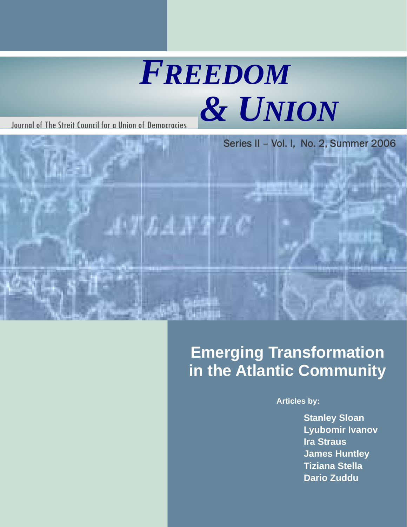# *FREEDOM & UNION*

Journal of The Streit Council for a Union of Democracies



# **Emerging Transformation in the Atlantic Community**

**Articles by:** 

**Stanley Sloan Lyubomir Ivanov Ira Straus James Huntley Tiziana Stella Dario Zuddu**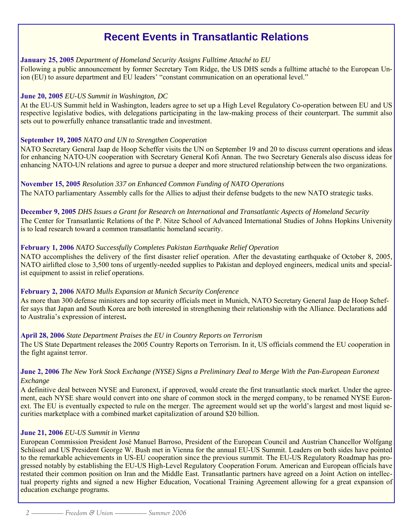## **Recent Events in Transatlantic Relations**

#### **January 25, 2005** *Department of Homeland Security Assigns Fulltime Attaché to EU*

Following a public announcement by former Secretary Tom Ridge, the US DHS sends a fulltime attaché to the European Union (EU) to assure department and EU leaders' "constant communication on an operational level."

#### **June 20, 2005** *EU-US Summit in Washington, DC*

At the EU-US Summit held in Washington, leaders agree to set up a High Level Regulatory Co-operation between EU and US respective legislative bodies, with delegations participating in the law-making process of their counterpart. The summit also sets out to powerfully enhance transatlantic trade and investment.

#### **September 19, 2005** *NATO and UN to Strengthen Cooperation*

NATO Secretary General Jaap de Hoop Scheffer visits the UN on September 19 and 20 to discuss current operations and ideas for enhancing NATO-UN cooperation with Secretary General Kofi Annan. The two Secretary Generals also discuss ideas for enhancing NATO-UN relations and agree to pursue a deeper and more structured relationship between the two organizations.

#### **November 15, 2005** *Resolution 337 on Enhanced Common Funding of NATO Operations*

The NATO parliamentary Assembly calls for the Allies to adjust their defense budgets to the new NATO strategic tasks.

**December 9, 2005** *DHS Issues a Grant for Research on International and Transatlantic Aspects of Homeland Security* The Center for Transatlantic Relations of the P. Nitze School of Advanced International Studies of Johns Hopkins University is to lead research toward a common transatlantic homeland security.

#### **February 1, 2006** *NATO Successfully Completes Pakistan Earthquake Relief Operation*

NATO accomplishes the delivery of the first disaster relief operation. After the devastating earthquake of October 8, 2005, NATO airlifted close to 3,500 tons of urgently-needed supplies to Pakistan and deployed engineers, medical units and specialist equipment to assist in relief operations.

#### **February 2, 2006** *NATO Mulls Expansion at Munich Security Conference*

As more than 300 defense ministers and top security officials meet in Munich, NATO Secretary General Jaap de Hoop Scheffer says that Japan and South Korea are both interested in strengthening their relationship with the Alliance. Declarations add to Australia's expression of interest**.** 

#### **April 28, 2006** *State Department Praises the EU in Country Reports on Terrorism*

The US State Department releases the 2005 Country Reports on Terrorism. In it, US officials commend the EU cooperation in the fight against terror.

#### **June 2, 2006** *The New York Stock Exchange (NYSE) Signs a Preliminary Deal to Merge With the Pan-European Euronext Exchange*

A definitive deal between NYSE and Euronext, if approved, would create the first transatlantic stock market. Under the agreement, each NYSE share would convert into one share of common stock in the merged company, to be renamed NYSE Euronext. The EU is eventually expected to rule on the merger. The agreement would set up the world's largest and most liquid securities marketplace with a combined market capitalization of around \$20 billion.

#### **June 21, 2006** *EU-US Summit in Vienna*

European Commission President José Manuel Barroso, President of the European Council and Austrian Chancellor Wolfgang Schüssel and US President George W. Bush met in Vienna for the annual EU-US Summit. Leaders on both sides have pointed to the remarkable achievements in US-EU cooperation since the previous summit. The EU-US Regulatory Roadmap has progressed notably by establishing the EU-US High-Level Regulatory Cooperation Forum. American and European officials have restated their common position on Iran and the Middle East. Transatlantic partners have agreed on a Joint Action on intellectual property rights and signed a new Higher Education, Vocational Training Agreement allowing for a great expansion of education exchange programs.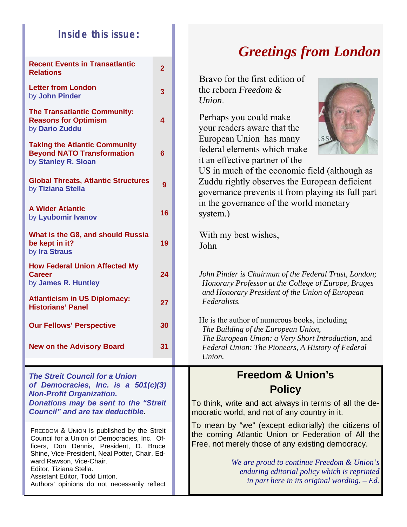### **Inside this issue:**

| <b>Recent Events in Transatlantic</b><br><b>Relations</b>                                        | $\overline{2}$          |
|--------------------------------------------------------------------------------------------------|-------------------------|
| <b>Letter from London</b><br>by John Pinder                                                      | 3                       |
| <b>The Transatlantic Community:</b><br><b>Reasons for Optimism</b><br>by Dario Zuddu             | $\overline{\mathbf{A}}$ |
| <b>Taking the Atlantic Community</b><br><b>Beyond NATO Transformation</b><br>by Stanley R. Sloan | 6                       |
| <b>Global Threats, Atlantic Structures</b><br>by Tiziana Stella                                  | 9                       |
| <b>A Wider Atlantic</b><br>by Lyubomir Ivanov                                                    | 16                      |
| What is the G8, and should Russia<br>be kept in it?<br>by Ira Straus                             | 19                      |
| <b>How Federal Union Affected My</b><br><b>Career</b><br>by James R. Huntley                     | 24                      |
| <b>Atlanticism in US Diplomacy:</b><br><b>Historians' Panel</b>                                  | 27                      |
| <b>Our Fellows' Perspective</b>                                                                  | 30                      |
| <b>New on the Advisory Board</b>                                                                 | 31                      |
| The Streit Council for a Union                                                                   |                         |

*Greetings from London* 

Bravo for the first edition of the reborn *Freedom & Union*.

Perhaps you could make your readers aware that the European Union has many federal elements which make it an effective partner of the



US in much of the economic field (although as Zuddu rightly observes the European deficient governance prevents it from playing its full part in the governance of the world monetary system.)

With my best wishes, John

*John Pinder is Chairman of the Federal Trust, London; Honorary Professor at the College of Europe, Bruges and Honorary President of the Union of European Federalists.* 

He is the author of numerous books, including *The Building of the European Union, The European Union: a Very Short Introduction*, and *Federal Union: The Pioneers, A History of Federal Union.* 

## **Freedom & Union's Policy**

To think, write and act always in terms of all the democratic world, and not of any country in it.

To mean by "we" (except editorially) the citizens of the coming Atlantic Union or Federation of All the Free, not merely those of any existing democracy.

> *We are proud to continue Freedom & Union's enduring editorial policy which is reprinted in part here in its original wording. – Ed.*

*The Streit Council for a Union of Democracies, Inc. is a 501(c)(3) Non-Profit Organization. Donations may be sent to the "Streit Council" and are tax deductible.* 

FREEDOM & UNION is published by the Streit Council for a Union of Democracies, Inc. Officers, Don Dennis, President, D. Bruce Shine, Vice-President, Neal Potter, Chair, Edward Rawson, Vice-Chair. Editor, Tiziana Stella. Assistant Editor, Todd Linton. Authors' opinions do not necessarily reflect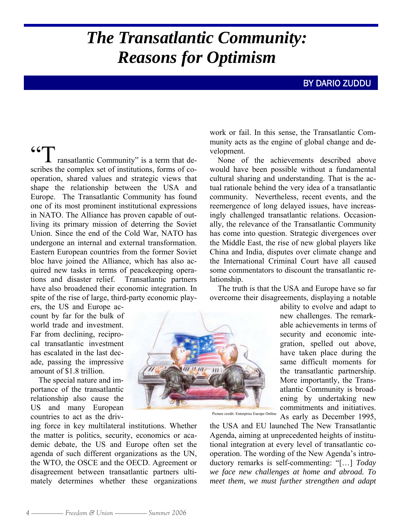# *The Transatlantic Community: Reasons for Optimism*

#### BY DARIO ZUDDU

#### $\begin{array}{c} \n\text{``G} \\ \n\text{``L} \\ \n\text{``L} \\ \n\text{``L} \\ \n\text{``L} \\ \n\text{``C} \\ \n\text{``C} \\ \n\text{``C} \\ \n\text{``C} \\ \n\text{``C} \\ \n\text{``C} \\ \n\text{``C} \\ \n\text{``C} \\ \n\text{``C} \\ \n\text{``C} \\ \n\text{``C} \\ \n\text{``C} \\ \n\text{``C} \\ \n\text{``C} \\ \n\text{``C} \\ \n\text{``C} \\ \n\text{``C} \\ \n\text{``C} \\ \n\text{``$ scribes the complex set of institutions, forms of cooperation, shared values and strategic views that shape the relationship between the USA and Europe. The Transatlantic Community has found one of its most prominent institutional expressions in NATO. The Alliance has proven capable of outliving its primary mission of deterring the Soviet Union. Since the end of the Cold War, NATO has undergone an internal and external transformation. Eastern European countries from the former Soviet bloc have joined the Alliance, which has also acquired new tasks in terms of peacekeeping operations and disaster relief. Transatlantic partners have also broadened their economic integration. In spite of the rise of large, third-party economic play-

ers, the US and Europe account by far for the bulk of world trade and investment. Far from declining, reciprocal transatlantic investment has escalated in the last decade, passing the impressive amount of \$1.8 trillion.

 The special nature and importance of the transatlantic relationship also cause the US and many European countries to act as the driv-

ing force in key multilateral institutions. Whether the matter is politics, security, economics or academic debate, the US and Europe often set the agenda of such different organizations as the UN, the WTO, the OSCE and the OECD. Agreement or disagreement between transatlantic partners ultimately determines whether these organizations work or fail. In this sense, the Transatlantic Community acts as the engine of global change and development.

 None of the achievements described above would have been possible without a fundamental cultural sharing and understanding. That is the actual rationale behind the very idea of a transatlantic community. Nevertheless, recent events, and the reemergence of long delayed issues, have increasingly challenged transatlantic relations. Occasionally, the relevance of the Transatlantic Community has come into question. Strategic divergences over the Middle East, the rise of new global players like China and India, disputes over climate change and the International Criminal Court have all caused some commentators to discount the transatlantic relationship.

 The truth is that the USA and Europe have so far overcome their disagreements, displaying a notable



ability to evolve and adapt to new challenges. The remarkable achievements in terms of security and economic integration, spelled out above, have taken place during the same difficult moments for the transatlantic partnership. More importantly, the Transatlantic Community is broadening by undertaking new commitments and initiatives. As early as December 1995,

Picture credit: Enterprise Europe Online

the USA and EU launched The New Transatlantic Agenda, aiming at unprecedented heights of institutional integration at every level of transatlantic cooperation. The wording of the New Agenda's introductory remarks is self-commenting: "[…] *Today we face new challenges at home and abroad. To meet them, we must further strengthen and adapt*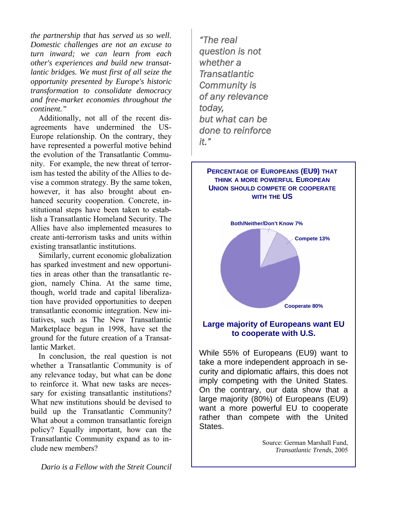*the partnership that has served us so well. Domestic challenges are not an excuse to turn inward; we can learn from each other's experiences and build new transatlantic bridges. We must first of all seize the opportunity presented by Europe's historic transformation to consolidate democracy and free-market economies throughout the continent."*

 Additionally, not all of the recent disagreements have undermined the US-Europe relationship. On the contrary, they have represented a powerful motive behind the evolution of the Transatlantic Community. For example, the new threat of terrorism has tested the ability of the Allies to devise a common strategy. By the same token, however, it has also brought about enhanced security cooperation. Concrete, institutional steps have been taken to establish a Transatlantic Homeland Security. The Allies have also implemented measures to create anti-terrorism tasks and units within existing transatlantic institutions.

 Similarly, current economic globalization has sparked investment and new opportunities in areas other than the transatlantic region, namely China. At the same time, though, world trade and capital liberalization have provided opportunities to deepen transatlantic economic integration. New initiatives, such as The New Transatlantic Marketplace begun in 1998, have set the ground for the future creation of a Transatlantic Market.

 In conclusion, the real question is not whether a Transatlantic Community is of any relevance today, but what can be done to reinforce it. What new tasks are necessary for existing transatlantic institutions? What new institutions should be devised to build up the Transatlantic Community? What about a common transatlantic foreign policy? Equally important, how can the Transatlantic Community expand as to include new members?

*Dario is a Fellow with the Streit Council*

*"The real question is not whether a Transatlantic Community is of any relevance today, but what can be done to reinforce it."* 



While 55% of Europeans (EU9) want to take a more independent approach in security and diplomatic affairs, this does not imply competing with the United States. On the contrary, our data show that a large majority (80%) of Europeans (EU9) want a more powerful EU to cooperate rather than compete with the United States.

> Source: German Marshall Fund, *Transatlantic Trends*, 2005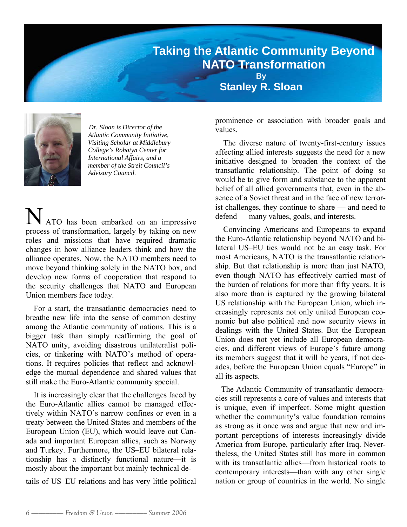## **Taking the Atlantic Community Beyond NATO Transformation By Stanley R. Sloan**



*Dr. Sloan is Director of the Atlantic Community Initiative, Visiting Scholar at Middlebury College's Rohatyn Center for International Affairs, and a member of the Streit Council's Advisory Council.* 

N ATO has been embarked on an impressive process of transformation, largely by taking on new roles and missions that have required dramatic changes in how alliance leaders think and how the alliance operates. Now, the NATO members need to move beyond thinking solely in the NATO box, and develop new forms of cooperation that respond to the security challenges that NATO and European Union members face today.

 For a start, the transatlantic democracies need to breathe new life into the sense of common destiny among the Atlantic community of nations. This is a bigger task than simply reaffirming the goal of NATO unity, avoiding disastrous unilateralist policies, or tinkering with NATO's method of operations. It requires policies that reflect and acknowledge the mutual dependence and shared values that still make the Euro-Atlantic community special.

 It is increasingly clear that the challenges faced by the Euro-Atlantic allies cannot be managed effectively within NATO's narrow confines or even in a treaty between the United States and members of the European Union (EU), which would leave out Canada and important European allies, such as Norway and Turkey. Furthermore, the US–EU bilateral relationship has a distinctly functional nature—it is mostly about the important but mainly technical de-

tails of US–EU relations and has very little political

prominence or association with broader goals and values.

 The diverse nature of twenty-first-century issues affecting allied interests suggests the need for a new initiative designed to broaden the context of the transatlantic relationship. The point of doing so would be to give form and substance to the apparent belief of all allied governments that, even in the absence of a Soviet threat and in the face of new terrorist challenges, they continue to share — and need to defend — many values, goals, and interests.

 Convincing Americans and Europeans to expand the Euro-Atlantic relationship beyond NATO and bilateral US–EU ties would not be an easy task. For most Americans, NATO is the transatlantic relationship. But that relationship is more than just NATO, even though NATO has effectively carried most of the burden of relations for more than fifty years. It is also more than is captured by the growing bilateral US relationship with the European Union, which increasingly represents not only united European economic but also political and now security views in dealings with the United States. But the European Union does not yet include all European democracies, and different views of Europe's future among its members suggest that it will be years, if not decades, before the European Union equals "Europe" in all its aspects.

 The Atlantic Community of transatlantic democracies still represents a core of values and interests that is unique, even if imperfect. Some might question whether the community's value foundation remains as strong as it once was and argue that new and important perceptions of interests increasingly divide America from Europe, particularly after Iraq. Nevertheless, the United States still has more in common with its transatlantic allies—from historical roots to contemporary interests—than with any other single nation or group of countries in the world. No single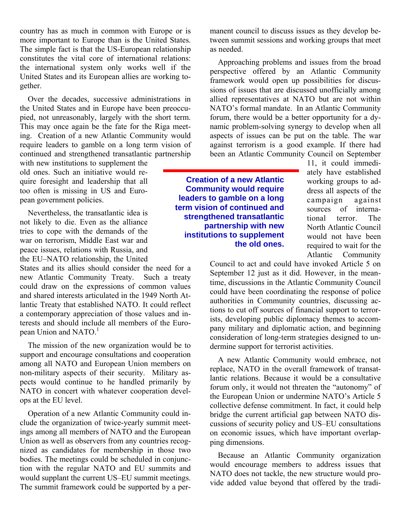country has as much in common with Europe or is more important to Europe than is the United States. The simple fact is that the US-European relationship constitutes the vital core of international relations: the international system only works well if the United States and its European allies are working together.

 Over the decades, successive administrations in the United States and in Europe have been preoccupied, not unreasonably, largely with the short term. This may once again be the fate for the Riga meeting. Creation of a new Atlantic Community would require leaders to gamble on a long term vision of continued and strengthened transatlantic partnership

with new institutions to supplement the old ones. Such an initiative would require foresight and leadership that all too often is missing in US and European government policies.

 Nevertheless, the transatlantic idea is not likely to die. Even as the alliance tries to cope with the demands of the war on terrorism, Middle East war and peace issues, relations with Russia, and the EU–NATO relationship, the United

States and its allies should consider the need for a new Atlantic Community Treaty. Such a treaty could draw on the expressions of common values and shared interests articulated in the 1949 North Atlantic Treaty that established NATO. It could reflect a contemporary appreciation of those values and interests and should include all members of the European Union and NATO.<sup>1</sup>

 The mission of the new organization would be to support and encourage consultations and cooperation among all NATO and European Union members on non-military aspects of their security. Military aspects would continue to he handled primarily by NATO in concert with whatever cooperation develops at the EU level.

 Operation of a new Atlantic Community could include the organization of twice-yearly summit meetings among all members of NATO and the European Union as well as observers from any countries recognized as candidates for membership in those two bodies. The meetings could be scheduled in conjunction with the regular NATO and EU summits and would supplant the current US–EU summit meetings. The summit framework could be supported by a permanent council to discuss issues as they develop between summit sessions and working groups that meet as needed.

 Approaching problems and issues from the broad perspective offered by an Atlantic Community framework would open up possibilities for discussions of issues that are discussed unofficially among allied representatives at NATO but are not within NATO's formal mandate. In an Atlantic Community forum, there would be a better opportunity for a dynamic problem-solving synergy to develop when all aspects of issues can be put on the table. The war against terrorism is a good example. If there had been an Atlantic Community Council on September

**Creation of a new Atlantic Community would require leaders to gamble on a long term vision of continued and strengthened transatlantic partnership with new institutions to supplement the old ones.** 

11, it could immediately have established working groups to address all aspects of the campaign against sources of international terror. The North Atlantic Council would not have been required to wait for the Atlantic Community

Council to act and could have invoked Article 5 on September 12 just as it did. However, in the meantime, discussions in the Atlantic Community Council could have been coordinating the response of police authorities in Community countries, discussing actions to cut off sources of financial support to terrorists, developing public diplomacy themes to accompany military and diplomatic action, and beginning consideration of long-term strategies designed to undermine support for terrorist activities.

 A new Atlantic Community would embrace, not replace, NATO in the overall framework of transatlantic relations. Because it would be a consultative forum only, it would not threaten the "autonomy" of the European Union or undermine NATO's Article 5 collective defense commitment. In fact, it could help bridge the current artificial gap between NATO discussions of security policy and US–EU consultations on economic issues, which have important overlapping dimensions.

 Because an Atlantic Community organization would encourage members to address issues that NATO does not tackle, the new structure would provide added value beyond that offered by the tradi-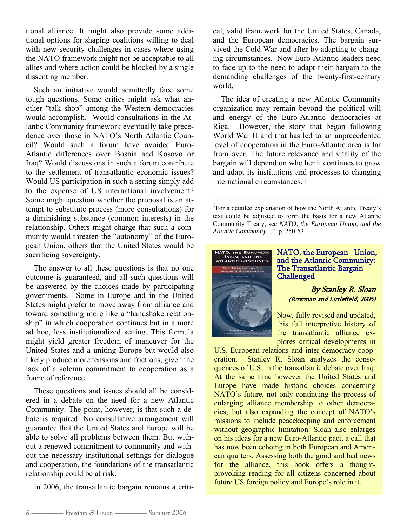tional alliance. It might also provide some additional options for shaping coalitions willing to deal with new security challenges in cases where using the NATO framework might not be acceptable to all allies and where action could be blocked by a single dissenting member.

 Such an initiative would admittedly face some tough questions. Some critics might ask what another "talk shop" among the Western democracies would accomplish. Would consultations in the Atlantic Community framework eventually take precedence over those in NATO's North Atlantic Council? Would such a forum have avoided Euro-Atlantic differences over Bosnia and Kosovo or Iraq? Would discussions in such a forum contribute to the settlement of transatlantic economic issues? Would US participation in such a setting simply add to the expense of US international involvement? Some might question whether the proposal is an attempt to substitute process (more consultations) for a diminishing substance (common interests) in the relationship. Others might charge that such a community would threaten the "autonomy" of the European Union, others that the United States would be sacrificing sovereignty.

 The answer to all these questions is that no one outcome is guaranteed, and all such questions will be answered by the choices made by participating governments. Some in Europe and in the United States might prefer to move away from alliance and toward something more like a "handshake relationship" in which cooperation continues but in a more ad hoc, less institutionalized setting. This formula might yield greater freedom of maneuver for the United States and a uniting Europe but would also likely produce more tensions and frictions, given the lack of a solemn commitment to cooperation as a frame of reference.

 These questions and issues should all be considered in a debate on the need for a new Atlantic Community. The point, however, is that such a debate is required. No consultative arrangement will guarantee that the United States and Europe will be able to solve all problems between them. But without a renewed commitment to community and without the necessary institutional settings for dialogue and cooperation, the foundations of the transatlantic relationship could be at risk.

In 2006, the transatlantic bargain remains a criti-

cal, valid framework for the United States, Canada, and the European democracies. The bargain survived the Cold War and after by adapting to changing circumstances. Now Euro-Atlantic leaders need to face up to the need to adapt their bargain to the demanding challenges of the twenty-first-century world.

 The idea of creating a new Atlantic Community organization may remain beyond the political will and energy of the Euro-Atlantic democracies at Riga. However, the story that began following World War II and that has led to an unprecedented level of cooperation in the Euro-Atlantic area is far from over. The future relevance and vitality of the bargain will depend on whether it continues to grow and adapt its institutions and processes to changing international circumstances.

<sup>1</sup>For a detailed explanation of how the North Atlantic Treaty's text could be adjusted to form the basis for a new Atlantic Community Treaty, see *NATO, the European Union, and the Atlantic Community…*", p. 250-53.

 $\mathcal{L}_\text{max}$ 



NATO, the European Union, and the Atlantic Community: The Transatlantic Bargain Challenged

> By Stanley R. Sloan (Rowman and Littlefield, 2005)

Now, fully revised and updated, this full interpretive history of the transatlantic alliance explores critical developments in

U.S.-European relations and inter-democracy cooperation. Stanley R. Sloan analyzes the consequences of U.S. in the transatlantic debate over Iraq. At the same time however the United States and Europe have made historic choices concerning NATO's future, not only continuing the process of enlarging alliance membership to other democracies, but also expanding the concept of NATO's missions to include peacekeeping and enforcement without geographic limitation. Sloan also enlarges on his ideas for a new Euro-Atlantic pact, a call that has now been echoing in both European and American quarters. Assessing both the good and bad news for the alliance, this book offers a thoughtprovoking reading for all citizens concerned about future US foreign policy and Europe's role in it.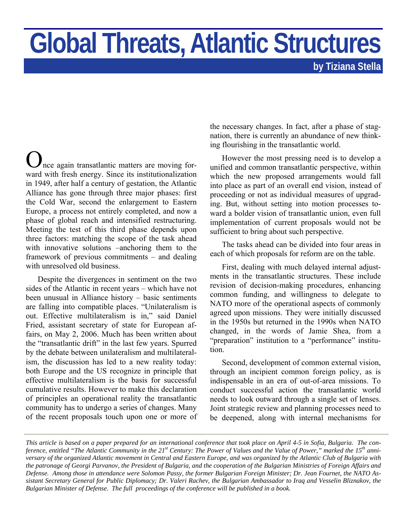# **Global Threats, Atlantic Structures by Tiziana Stella**

nce again transatlantic matters are moving forward with fresh energy. Since its institutionalization in 1949, after half a century of gestation, the Atlantic Alliance has gone through three major phases: first the Cold War, second the enlargement to Eastern Europe, a process not entirely completed, and now a phase of global reach and intensified restructuring. Meeting the test of this third phase depends upon three factors: matching the scope of the task ahead with innovative solutions –anchoring them to the framework of previous commitments – and dealing with unresolved old business.

Despite the divergences in sentiment on the two sides of the Atlantic in recent years – which have not been unusual in Alliance history – basic sentiments are falling into compatible places. "Unilateralism is out. Effective multilateralism is in," said Daniel Fried, assistant secretary of state for European affairs, on May 2, 2006. Much has been written about the "transatlantic drift" in the last few years. Spurred by the debate between unilateralism and multilateralism, the discussion has led to a new reality today: both Europe and the US recognize in principle that effective multilateralism is the basis for successful cumulative results. However to make this declaration of principles an operational reality the transatlantic community has to undergo a series of changes. Many of the recent proposals touch upon one or more of the necessary changes. In fact, after a phase of stagnation, there is currently an abundance of new thinking flourishing in the transatlantic world.

However the most pressing need is to develop a unified and common transatlantic perspective, within which the new proposed arrangements would fall into place as part of an overall end vision, instead of proceeding or not as individual measures of upgrading. But, without setting into motion processes toward a bolder vision of transatlantic union, even full implementation of current proposals would not be sufficient to bring about such perspective.

The tasks ahead can be divided into four areas in each of which proposals for reform are on the table.

First, dealing with much delayed internal adjustments in the transatlantic structures. These include revision of decision-making procedures, enhancing common funding, and willingness to delegate to NATO more of the operational aspects of commonly agreed upon missions. They were initially discussed in the 1950s but returned in the 1990s when NATO changed, in the words of Jamie Shea, from a "preparation" institution to a "performance" institution.

Second, development of common external vision, through an incipient common foreign policy, as is indispensable in an era of out-of-area missions. To conduct successful action the transatlantic world needs to look outward through a single set of lenses. Joint strategic review and planning processes need to be deepened, along with internal mechanisms for

*This article is based on a paper prepared for an international conference that took place on April 4-5 in Sofia, Bulgaria. The con*ference, entitled "The Atlantic Community in the 21<sup>st</sup> Century: The Power of Values and the Value of Power," marked the 15<sup>th</sup> anni*versary of the organized Atlantic movement in Central and Eastern Europe, and was organized by the Atlantic Club of Bulgaria with the patronage of Georgi Parvanov, the President of Bulgaria, and the cooperation of the Bulgarian Ministries of Foreign Affairs and Defense. Among those in attendance were Solomon Passy, the former Bulgarian Foreign Minister; Dr. Jean Fournet, the NATO Assistant Secretary General for Public Diplomacy; Dr. Valeri Rachev, the Bulgarian Ambassador to Iraq and Vesselin Bliznakov, the Bulgarian Minister of Defense. The full proceedings of the conference will be published in a book.*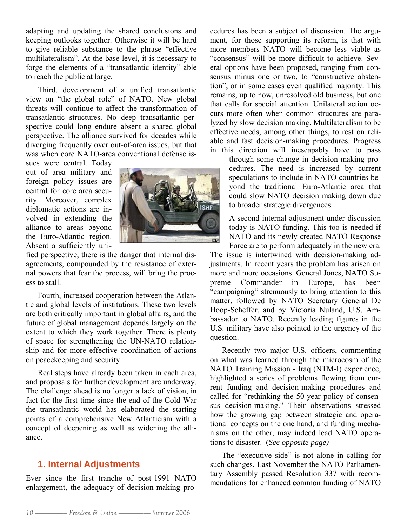adapting and updating the shared conclusions and keeping outlooks together. Otherwise it will be hard to give reliable substance to the phrase "effective multilateralism". At the base level, it is necessary to forge the elements of a "transatlantic identity" able to reach the public at large.

Third, development of a unified transatlantic view on "the global role" of NATO. New global threats will continue to affect the transformation of transatlantic structures. No deep transatlantic perspective could long endure absent a shared global perspective. The alliance survived for decades while diverging frequently over out-of-area issues, but that was when core NATO-area conventional defense is-

sues were central. Today out of area military and foreign policy issues are central for core area security. Moreover, complex diplomatic actions are involved in extending the alliance to areas beyond the Euro-Atlantic region. Absent a sufficiently uni-



fied perspective, there is the danger that internal disagreements, compounded by the resistance of external powers that fear the process, will bring the process to stall.

Fourth, increased cooperation between the Atlantic and global levels of institutions. These two levels are both critically important in global affairs, and the future of global management depends largely on the extent to which they work together. There is plenty of space for strengthening the UN-NATO relationship and for more effective coordination of actions on peacekeeping and security.

Real steps have already been taken in each area, and proposals for further development are underway. The challenge ahead is no longer a lack of vision, in fact for the first time since the end of the Cold War the transatlantic world has elaborated the starting points of a comprehensive New Atlanticism with a concept of deepening as well as widening the alliance.

#### **1. Internal Adjustments**

Ever since the first tranche of post-1991 NATO enlargement, the adequacy of decision-making procedures has been a subject of discussion. The argument, for those supporting its reform, is that with more members NATO will become less viable as "consensus" will be more difficult to achieve. Several options have been proposed, ranging from consensus minus one or two, to "constructive abstention", or in some cases even qualified majority. This remains, up to now, unresolved old business, but one that calls for special attention. Unilateral action occurs more often when common structures are paralyzed by slow decision making. Multilateralism to be effective needs, among other things, to rest on reliable and fast decision-making procedures. Progress in this direction will inescapably have to pass

> through some change in decision-making procedures. The need is increased by current speculations to include in NATO countries beyond the traditional Euro-Atlantic area that could slow NATO decision making down due to broader strategic divergences.

> A second internal adjustment under discussion today is NATO funding. This too is needed if NATO and its newly created NATO Response Force are to perform adequately in the new era.

The issue is intertwined with decision-making adjustments. In recent years the problem has arisen on more and more occasions. General Jones, NATO Supreme Commander in Europe, has been "campaigning" strenuously to bring attention to this matter, followed by NATO Secretary General De Hoop-Scheffer, and by Victoria Nuland, U.S. Ambassador to NATO. Recently leading figures in the U.S. military have also pointed to the urgency of the question.

Recently two major U.S. officers, commenting on what was learned through the microcosm of the NATO Training Mission - Iraq (NTM-I) experience, highlighted a series of problems flowing from current funding and decision-making procedures and called for "rethinking the 50-year policy of consensus decision-making." Their observations stressed how the growing gap between strategic and operational concepts on the one hand, and funding mechanisms on the other, may indeed lead NATO operations to disaster. (*See opposite page)*

The "executive side" is not alone in calling for such changes. Last November the NATO Parliamentary Assembly passed Resolution 337 with recommendations for enhanced common funding of NATO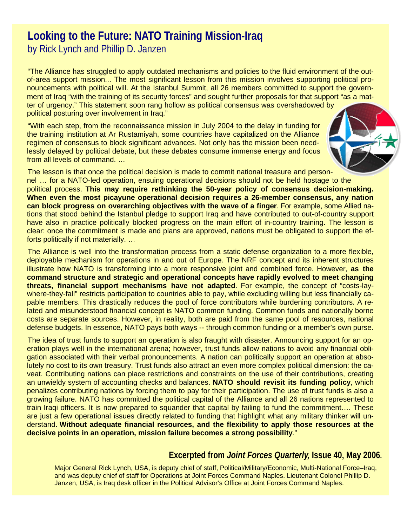### **Looking to the Future: NATO Training Mission-Iraq** by Rick Lynch and Phillip D. Janzen

"The Alliance has struggled to apply outdated mechanisms and policies to the fluid environment of the outof-area support mission... The most significant lesson from this mission involves supporting political pronouncements with political will. At the Istanbul Summit, all 26 members committed to support the government of Iraq "with the training of its security forces" and sought further proposals for that support "as a matter of urgency." This statement soon rang hollow as political consensus was overshadowed by political posturing over involvement in Iraq."

"With each step, from the reconnaissance mission in July 2004 to the delay in funding for the training institution at Ar Rustamiyah, some countries have capitalized on the Alliance regimen of consensus to block significant advances. Not only has the mission been needlessly delayed by political debate, but these debates consume immense energy and focus from all levels of command. …



The lesson is that once the political decision is made to commit national treasure and personnel … for a NATO-led operation, ensuing operational decisions should not be held hostage to the political process. **This may require rethinking the 50-year policy of consensus decision-making. When even the most picayune operational decision requires a 26-member consensus, any nation can block progress on overarching objectives with the wave of a finger**. For example, some Allied nations that stood behind the Istanbul pledge to support Iraq and have contributed to out-of-country support have also in practice politically blocked progress on the main effort of in-country training. The lesson is clear: once the commitment is made and plans are approved, nations must be obligated to support the efforts politically if not materially. …

The Alliance is well into the transformation process from a static defense organization to a more flexible, deployable mechanism for operations in and out of Europe. The NRF concept and its inherent structures illustrate how NATO is transforming into a more responsive joint and combined force. However, **as the command structure and strategic and operational concepts have rapidly evolved to meet changing threats, financial support mechanisms have not adapted**. For example, the concept of "costs-laywhere-they-fall" restricts participation to countries able to pay, while excluding willing but less financially capable members. This drastically reduces the pool of force contributors while burdening contributors. A related and misunderstood financial concept is NATO common funding. Common funds and nationally borne costs are separate sources. However, in reality, both are paid from the same pool of resources, national defense budgets. In essence, NATO pays both ways -- through common funding or a member's own purse.

The idea of trust funds to support an operation is also fraught with disaster. Announcing support for an operation plays well in the international arena; however, trust funds allow nations to avoid any financial obligation associated with their verbal pronouncements. A nation can politically support an operation at absolutely no cost to its own treasury. Trust funds also attract an even more complex political dimension: the caveat. Contributing nations can place restrictions and constraints on the use of their contributions, creating an unwieldy system of accounting checks and balances. **NATO should revisit its funding policy**, which penalizes contributing nations by forcing them to pay for their participation. The use of trust funds is also a growing failure. NATO has committed the political capital of the Alliance and all 26 nations represented to train Iraqi officers. It is now prepared to squander that capital by failing to fund the commitment…. These are just a few operational issues directly related to funding that highlight what any military thinker will understand. **Without adequate financial resources, and the flexibility to apply those resources at the decisive points in an operation, mission failure becomes a strong possibility**."

#### **Excerpted from** *Joint Forces Quarterly,* **Issue 40, May 2006.**

Major General Rick Lynch, USA, is deputy chief of staff, Political/Military/Economic, Multi-National Force–Iraq, and was deputy chief of staff for Operations at Joint Forces Command Naples. Lieutenant Colonel Phillip D. Janzen, USA, is Iraq desk officer in the Political Advisor's Office at Joint Forces Command Naples.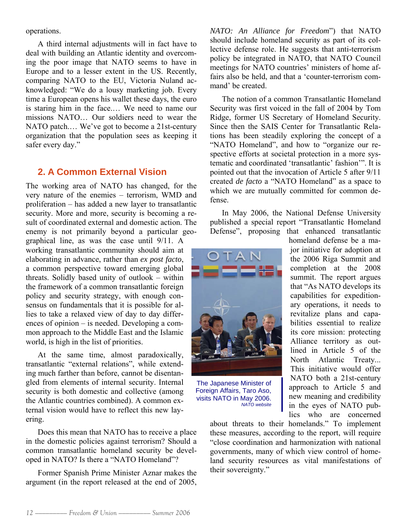operations.

A third internal adjustments will in fact have to deal with building an Atlantic identity and overcoming the poor image that NATO seems to have in Europe and to a lesser extent in the US. Recently, comparing NATO to the EU, Victoria Nuland acknowledged: "We do a lousy marketing job. Every time a European opens his wallet these days, the euro is staring him in the face.… We need to name our missions NATO… Our soldiers need to wear the NATO patch.… We've got to become a 21st-century organization that the population sees as keeping it safer every day."

#### **2. A Common External Vision**

The working area of NATO has changed, for the very nature of the enemies – terrorism, WMD and proliferation – has added a new layer to transatlantic security. More and more, security is becoming a result of coordinated external and domestic action. The enemy is not primarily beyond a particular geographical line, as was the case until 9/11. A working transatlantic community should aim at elaborating in advance, rather than *ex post facto*, a common perspective toward emerging global threats. Solidly based unity of outlook – within the framework of a common transatlantic foreign policy and security strategy, with enough consensus on fundamentals that it is possible for allies to take a relaxed view of day to day differ-

ences of opinion – is needed. Developing a common approach to the Middle East and the Islamic world, is high in the list of priorities.

At the same time, almost paradoxically, transatlantic "external relations", while extending much farther than before, cannot be disentangled from elements of internal security. Internal security is both domestic and collective (among the Atlantic countries combined). A common external vision would have to reflect this new layering.

Does this mean that NATO has to receive a place in the domestic policies against terrorism? Should a common transatlantic homeland security be developed in NATO? Is there a "NATO Homeland"?

Former Spanish Prime Minister Aznar makes the argument (in the report released at the end of 2005, *NATO: An Alliance for Freedom*") that NATO should include homeland security as part of its collective defense role. He suggests that anti-terrorism policy be integrated in NATO, that NATO Council meetings for NATO countries' ministers of home affairs also be held, and that a 'counter-terrorism command' be created.

The notion of a common Transatlantic Homeland Security was first voiced in the fall of 2004 by Tom Ridge, former US Secretary of Homeland Security. Since then the SAIS Center for Transatlantic Relations has been steadily exploring the concept of a "NATO Homeland", and how to "organize our respective efforts at societal protection in a more systematic and coordinated 'transatlantic' fashion'". It is pointed out that the invocation of Article 5 after 9/11 created *de facto* a "NATO Homeland" as a space to which we are mutually committed for common defense.

In May 2006, the National Defense University published a special report "Transatlantic Homeland Defense", proposing that enhanced transatlantic



The Japanese Minister of Foreign Affairs, Taro Aso, visits NATO in May 2006. *NATO website* 

homeland defense be a major initiative for adoption at the 2006 Riga Summit and completion at the 2008 summit. The report argues that "As NATO develops its capabilities for expeditionary operations, it needs to revitalize plans and capabilities essential to realize its core mission: protecting Alliance territory as outlined in Article 5 of the North Atlantic Treaty... This initiative would offer NATO both a 21st-century approach to Article 5 and new meaning and credibility in the eyes of NATO publics who are concerned

about threats to their homelands." To implement these measures, according to the report, will require "close coordination and harmonization with national governments, many of which view control of homeland security resources as vital manifestations of their sovereignty."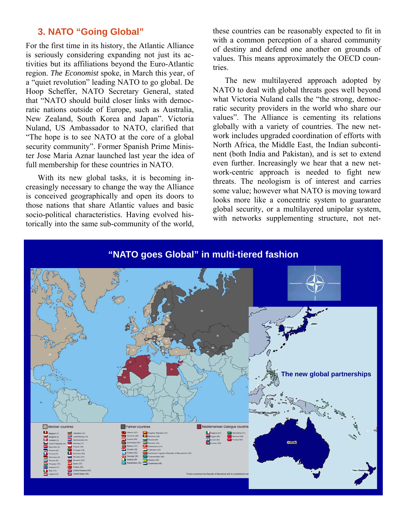#### **3. NATO "Going Global"**

For the first time in its history, the Atlantic Alliance is seriously considering expanding not just its activities but its affiliations beyond the Euro-Atlantic region. *The Economist* spoke, in March this year, of a "quiet revolution" leading NATO to go global. De Hoop Scheffer, NATO Secretary General, stated that "NATO should build closer links with democratic nations outside of Europe, such as Australia, New Zealand, South Korea and Japan". Victoria Nuland, US Ambassador to NATO, clarified that "The hope is to see NATO at the core of a global security community". Former Spanish Prime Minister Jose Maria Aznar launched last year the idea of full membership for these countries in NATO.

With its new global tasks, it is becoming increasingly necessary to change the way the Alliance is conceived geographically and open its doors to those nations that share Atlantic values and basic socio-political characteristics. Having evolved historically into the same sub-community of the world, these countries can be reasonably expected to fit in with a common perception of a shared community of destiny and defend one another on grounds of values. This means approximately the OECD coun**tries** 

The new multilayered approach adopted by NATO to deal with global threats goes well beyond what Victoria Nuland calls the "the strong, democratic security providers in the world who share our values". The Alliance is cementing its relations globally with a variety of countries. The new network includes upgraded coordination of efforts with North Africa, the Middle East, the Indian subcontinent (both India and Pakistan), and is set to extend even further. Increasingly we hear that a new network-centric approach is needed to fight new threats. The neologism is of interest and carries some value; however what NATO is moving toward looks more like a concentric system to guarantee global security, or a multilayered unipolar system, with networks supplementing structure, not net-

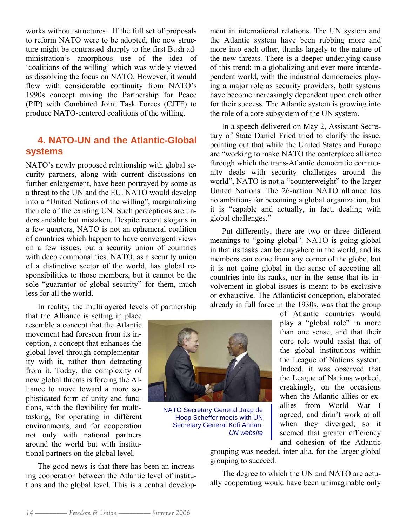works without structures . If the full set of proposals to reform NATO were to be adopted, the new structure might be contrasted sharply to the first Bush administration's amorphous use of the idea of 'coalitions of the willing' which was widely viewed as dissolving the focus on NATO. However, it would flow with considerable continuity from NATO's 1990s concept mixing the Partnership for Peace (PfP) with Combined Joint Task Forces (CJTF) to produce NATO-centered coalitions of the willing.

#### **4. NATO-UN and the Atlantic-Global systems**

NATO's newly proposed relationship with global security partners, along with current discussions on further enlargement, have been portrayed by some as a threat to the UN and the EU. NATO would develop into a "United Nations of the willing", marginalizing the role of the existing UN. Such perceptions are understandable but mistaken. Despite recent slogans in a few quarters, NATO is not an ephemeral coalition of countries which happen to have convergent views on a few issues, but a security union of countries with deep commonalities. NATO, as a security union of a distinctive sector of the world, has global responsibilities to those members, but it cannot be the sole "guarantor of global security" for them, much less for all the world.

In reality, the multilayered levels of partnership

that the Alliance is setting in place resemble a concept that the Atlantic movement had foreseen from its inception, a concept that enhances the global level through complementarity with it, rather than detracting from it. Today, the complexity of new global threats is forcing the Alliance to move toward a more sophisticated form of unity and functions, with the flexibility for multitasking, for operating in different environments, and for cooperation not only with national partners around the world but with institutional partners on the global level.

The good news is that there has been an increasing cooperation between the Atlantic level of institutions and the global level. This is a central development in international relations. The UN system and the Atlantic system have been rubbing more and more into each other, thanks largely to the nature of the new threats. There is a deeper underlying cause of this trend: in a globalizing and ever more interdependent world, with the industrial democracies playing a major role as security providers, both systems have become increasingly dependent upon each other for their success. The Atlantic system is growing into the role of a core subsystem of the UN system.

In a speech delivered on May 2, Assistant Secretary of State Daniel Fried tried to clarify the issue, pointing out that while the United States and Europe are "working to make NATO the centerpiece alliance through which the trans-Atlantic democratic community deals with security challenges around the world", NATO is not a "counterweight" to the larger United Nations. The 26-nation NATO alliance has no ambitions for becoming a global organization, but it is "capable and actually, in fact, dealing with global challenges."

Put differently, there are two or three different meanings to "going global". NATO is going global in that its tasks can be anywhere in the world, and its members can come from any corner of the globe, but it is not going global in the sense of accepting all countries into its ranks, nor in the sense that its involvement in global issues is meant to be exclusive or exhaustive. The Atlanticist conception, elaborated already in full force in the 1930s, was that the group

of Atlantic countries would play a "global role" in more than one sense, and that their core role would assist that of the global institutions within the League of Nations system. Indeed, it was observed that the League of Nations worked, creakingly, on the occasions when the Atlantic allies or exallies from World War I agreed, and didn't work at all when they diverged; so it seemed that greater efficiency and cohesion of the Atlantic

grouping was needed, inter alia, for the larger global grouping to succeed.

The degree to which the UN and NATO are actually cooperating would have been unimaginable only



NATO Secretary General Jaap de Hoop Scheffer meets with UN Secretary General Kofi Annan. *UN website*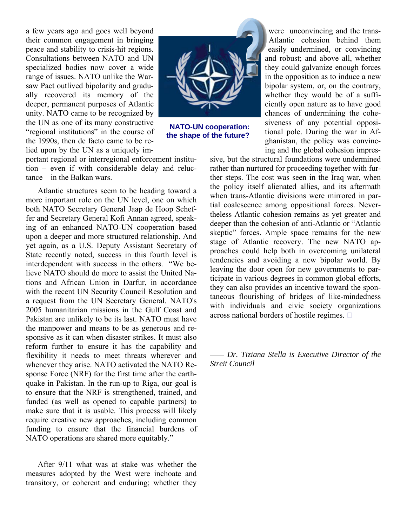a few years ago and goes well beyond their common engagement in bringing peace and stability to crisis-hit regions. Consultations between NATO and UN specialized bodies now cover a wide range of issues. NATO unlike the Warsaw Pact outlived bipolarity and gradually recovered its memory of the deeper, permanent purposes of Atlantic unity. NATO came to be recognized by the UN as one of its many constructive "regional institutions" in the course of the 1990s, then de facto came to be relied upon by the UN as a uniquely im-



**NATO-UN cooperation: the shape of the future?** 

portant regional or interregional enforcement institution – even if with considerable delay and reluctance – in the Balkan wars.

Atlantic structures seem to be heading toward a more important role on the UN level, one on which both NATO Secretary General Jaap de Hoop Scheffer and Secretary General Kofi Annan agreed, speaking of an enhanced NATO-UN cooperation based upon a deeper and more structured relationship. And yet again, as a U.S. Deputy Assistant Secretary of State recently noted, success in this fourth level is interdependent with success in the others. "We believe NATO should do more to assist the United Nations and African Union in Darfur, in accordance with the recent UN Security Council Resolution and a request from the UN Secretary General. NATO's 2005 humanitarian missions in the Gulf Coast and Pakistan are unlikely to be its last. NATO must have the manpower and means to be as generous and responsive as it can when disaster strikes. It must also reform further to ensure it has the capability and flexibility it needs to meet threats wherever and whenever they arise. NATO activated the NATO Response Force (NRF) for the first time after the earthquake in Pakistan. In the run-up to Riga, our goal is to ensure that the NRF is strengthened, trained, and funded (as well as opened to capable partners) to make sure that it is usable. This process will likely require creative new approaches, including common funding to ensure that the financial burdens of NATO operations are shared more equitably."

After 9/11 what was at stake was whether the measures adopted by the West were inchoate and transitory, or coherent and enduring; whether they

were unconvincing and the trans-Atlantic cohesion behind them easily undermined, or convincing and robust; and above all, whether they could galvanize enough forces in the opposition as to induce a new bipolar system, or, on the contrary, whether they would be of a sufficiently open nature as to have good chances of undermining the cohesiveness of any potential oppositional pole. During the war in Afghanistan, the policy was convincing and the global cohesion impres-

sive, but the structural foundations were undermined rather than nurtured for proceeding together with further steps. The cost was seen in the Iraq war, when the policy itself alienated allies, and its aftermath when trans-Atlantic divisions were mirrored in partial coalescence among oppositional forces. Nevertheless Atlantic cohesion remains as yet greater and deeper than the cohesion of anti-Atlantic or "Atlantic skeptic" forces. Ample space remains for the new stage of Atlantic recovery. The new NATO approaches could help both in overcoming unilateral tendencies and avoiding a new bipolar world. By leaving the door open for new governments to participate in various degrees in common global efforts, they can also provides an incentive toward the spontaneous flourishing of bridges of like-mindedness with individuals and civic society organizations across national borders of hostile regimes.

*—— Dr. Tiziana Stella is Executive Director of the Streit Council*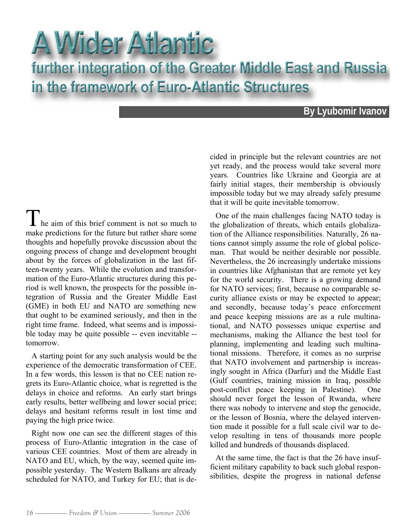# A Wider Atlantic

further integration of the Greater Middle East and Russia in the framework of Euro-Atlantic Structures

#### **By Lyubomir Ivanov**

 $\Gamma$  he aim of this brief comment is not so much to make predictions for the future but rather share some thoughts and hopefully provoke discussion about the ongoing process of change and development brought about by the forces of globalization in the last fifteen-twenty years. While the evolution and transformation of the Euro-Atlantic structures during this period is well known, the prospects for the possible integration of Russia and the Greater Middle East (GME) in both EU and NATO are something new that ought to be examined seriously, and then in the right time frame. Indeed, what seems and is impossible today may be quite possible -- even inevitable - tomorrow.

A starting point for any such analysis would be the experience of the democratic transformation of CEE. In a few words, this lesson is that no CEE nation regrets its Euro-Atlantic choice, what is regretted is the delays in choice and reforms. An early start brings early results, better wellbeing and lower social price; delays and hesitant reforms result in lost time and paying the high price twice.

Right now one can see the different stages of this process of Euro-Atlantic integration in the case of various CEE countries. Most of them are already in NATO and EU, which, by the way, seemed quite impossible yesterday. The Western Balkans are already scheduled for NATO, and Turkey for EU; that is decided in principle but the relevant countries are not yet ready, and the process would take several more years. Countries like Ukraine and Georgia are at fairly initial stages, their membership is obviously impossible today but we may already safely presume that it will be quite inevitable tomorrow.

One of the main challenges facing NATO today is the globalization of threats, which entails globalization of the Alliance responsibilities. Naturally, 26 nations cannot simply assume the role of global policeman. That would be neither desirable nor possible. Nevertheless, the 26 increasingly undertake missions in countries like Afghanistan that are remote yet key for the world security. There is a growing demand for NATO services; first, because no comparable security alliance exists or may be expected to appear; and secondly, because today's peace enforcement and peace keeping missions are as a rule multinational, and NATO possesses unique expertise and mechanisms, making the Alliance the best tool for planning, implementing and leading such multinational missions. Therefore, it comes as no surprise that NATO involvement and partnership is increasingly sought in Africa (Darfur) and the Middle East (Gulf countries, training mission in Iraq, possible post-conflict peace keeping in Palestine). One should never forget the lesson of Rwanda, where there was nobody to intervene and stop the genocide, or the lesson of Bosnia, where the delayed intervention made it possible for a full scale civil war to develop resulting in tens of thousands more people killed and hundreds of thousands displaced.

At the same time, the fact is that the 26 have insufficient military capability to back such global responsibilities, despite the progress in national defense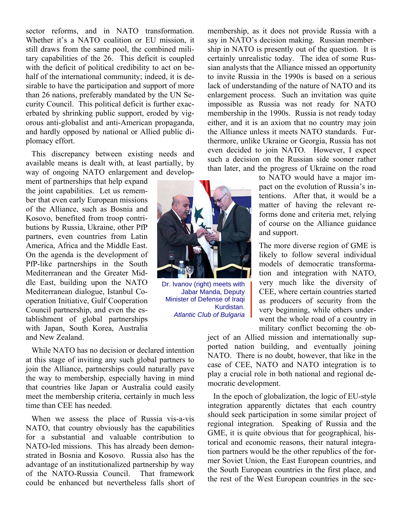sector reforms, and in NATO transformation. Whether it's a NATO coalition or EU mission, it still draws from the same pool, the combined military capabilities of the 26. This deficit is coupled with the deficit of political credibility to act on behalf of the international community; indeed, it is desirable to have the participation and support of more than 26 nations, preferably mandated by the UN Security Council. This political deficit is further exacerbated by shrinking public support, eroded by vigorous anti-globalist and anti-American propaganda, and hardly opposed by national or Allied public diplomacy effort.

This discrepancy between existing needs and available means is dealt with, at least partially, by way of ongoing NATO enlargement and develop-

ment of partnerships that help expand the joint capabilities. Let us remember that even early European missions of the Alliance, such as Bosnia and Kosovo, benefited from troop contributions by Russia, Ukraine, other PfP partners, even countries from Latin America, Africa and the Middle East. On the agenda is the development of PfP-like partnerships in the South Mediterranean and the Greater Middle East, building upon the NATO Mediterranean dialogue, Istanbul Cooperation Initiative, Gulf Cooperation Council partnership, and even the establishment of global partnerships with Japan, South Korea, Australia and New Zealand.

While NATO has no decision or declared intention at this stage of inviting any such global partners to join the Alliance, partnerships could naturally pave the way to membership, especially having in mind that countries like Japan or Australia could easily meet the membership criteria, certainly in much less time than CEE has needed.

When we assess the place of Russia vis-a-vis NATO, that country obviously has the capabilities for a substantial and valuable contribution to NATO-led missions. This has already been demonstrated in Bosnia and Kosovo. Russia also has the advantage of an institutionalized partnership by way of the NATO-Russia Council. That framework could be enhanced but nevertheless falls short of membership, as it does not provide Russia with a say in NATO's decision making. Russian membership in NATO is presently out of the question. It is certainly unrealistic today. The idea of some Russian analysts that the Alliance missed an opportunity to invite Russia in the 1990s is based on a serious lack of understanding of the nature of NATO and its enlargement process. Such an invitation was quite impossible as Russia was not ready for NATO membership in the 1990s. Russia is not ready today either, and it is an axiom that no country may join the Alliance unless it meets NATO standards. Furthermore, unlike Ukraine or Georgia, Russia has not even decided to join NATO. However, I expect such a decision on the Russian side sooner rather than later, and the progress of Ukraine on the road

to NATO would have a major impact on the evolution of Russia's intentions. After that, it would be a matter of having the relevant reforms done and criteria met, relying of course on the Alliance guidance and support.

The more diverse region of GME is likely to follow several individual models of democratic transformation and integration with NATO, very much like the diversity of CEE, where certain countries started as producers of security from the very beginning, while others underwent the whole road of a country in military conflict becoming the ob-

ject of an Allied mission and internationally supported nation building, and eventually joining NATO. There is no doubt, however, that like in the case of CEE, NATO and NATO integration is to play a crucial role in both national and regional democratic development.

In the epoch of globalization, the logic of EU-style integration apparently dictates that each country should seek participation in some similar project of regional integration. Speaking of Russia and the GME, it is quite obvious that for geographical, historical and economic reasons, their natural integration partners would be the other republics of the former Soviet Union, the East European countries, and the South European countries in the first place, and the rest of the West European countries in the sec-



Dr. Ivanov (right) meets with Jabar Manda, Deputy Minister of Defense of Iraqi Kurdistan. *Atlantic Club of Bulgaria*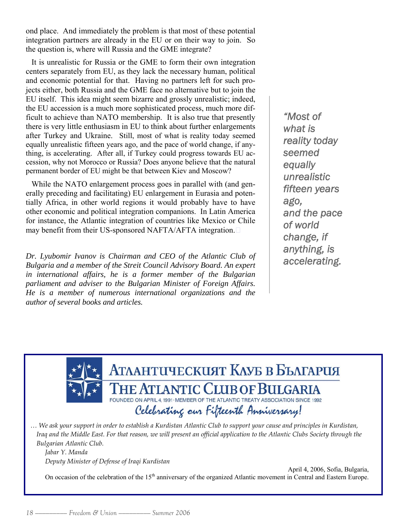ond place. And immediately the problem is that most of these potential integration partners are already in the EU or on their way to join. So the question is, where will Russia and the GME integrate?

It is unrealistic for Russia or the GME to form their own integration centers separately from EU, as they lack the necessary human, political and economic potential for that. Having no partners left for such projects either, both Russia and the GME face no alternative but to join the EU itself. This idea might seem bizarre and grossly unrealistic; indeed, the EU accession is a much more sophisticated process, much more difficult to achieve than NATO membership. It is also true that presently there is very little enthusiasm in EU to think about further enlargements after Turkey and Ukraine. Still, most of what is reality today seemed equally unrealistic fifteen years ago, and the pace of world change, if anything, is accelerating. After all, if Turkey could progress towards EU accession, why not Morocco or Russia? Does anyone believe that the natural permanent border of EU might be that between Kiev and Moscow?

While the NATO enlargement process goes in parallel with (and generally preceding and facilitating) EU enlargement in Eurasia and potentially Africa, in other world regions it would probably have to have other economic and political integration companions. In Latin America for instance, the Atlantic integration of countries like Mexico or Chile may benefit from their US-sponsored NAFTA/AFTA integration.

*Dr. Lyubomir Ivanov is Chairman and CEO of the Atlantic Club of Bulgaria and a member of the Streit Council Advisory Board. An expert in international affairs, he is a former member of the Bulgarian parliament and adviser to the Bulgarian Minister of Foreign Affairs. He is a member of numerous international organizations and the author of several books and articles.* 

*"Most of what is reality today seemed equally unrealistic fifteen years ago, and the pace of world change, if anything, is accelerating.*



... We ask your support in order to establish a Kurdistan Atlantic Club to support your cause and principles in Kurdistan, Iraq and the Middle East. For that reason, we will present an official application to the Atlantic Clubs Society through the *Bulgarian Atlantic Club.*

*Jabar Y. Manda Deputy Minister of Defense of Iraqi Kurdistan*

April 4, 2006, Sofia, Bulgaria, On occasion of the celebration of the 15<sup>th</sup> anniversary of the organized Atlantic movement in Central and Eastern Europe.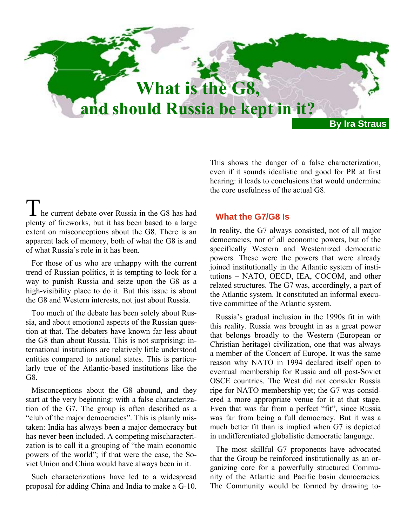

 $\blacksquare$  he current debate over Russia in the G8 has had plenty of fireworks, but it has been based to a large extent on misconceptions about the G8. There is an apparent lack of memory, both of what the G8 is and of what Russia's role in it has been.

For those of us who are unhappy with the current trend of Russian politics, it is tempting to look for a way to punish Russia and seize upon the G8 as a high-visibility place to do it. But this issue is about the G8 and Western interests, not just about Russia.

Too much of the debate has been solely about Russia, and about emotional aspects of the Russian question at that. The debaters have known far less about the G8 than about Russia. This is not surprising: international institutions are relatively little understood entities compared to national states. This is particularly true of the Atlantic-based institutions like the G8.

Misconceptions about the G8 abound, and they start at the very beginning: with a false characterization of the G7. The group is often described as a "club of the major democracies". This is plainly mistaken: India has always been a major democracy but has never been included. A competing mischaracterization is to call it a grouping of "the main economic powers of the world"; if that were the case, the Soviet Union and China would have always been in it.

Such characterizations have led to a widespread proposal for adding China and India to make a G-10.

This shows the danger of a false characterization, even if it sounds idealistic and good for PR at first hearing: it leads to conclusions that would undermine the core usefulness of the actual G8.

#### **What the G7/G8 Is**

In reality, the G7 always consisted, not of all major democracies, nor of all economic powers, but of the specifically Western and Westernized democratic powers. These were the powers that were already joined institutionally in the Atlantic system of institutions – NATO, OECD, IEA, COCOM, and other related structures. The G7 was, accordingly, a part of the Atlantic system. It constituted an informal executive committee of the Atlantic system.

Russia's gradual inclusion in the 1990s fit in with this reality. Russia was brought in as a great power that belongs broadly to the Western (European or Christian heritage) civilization, one that was always a member of the Concert of Europe. It was the same reason why NATO in 1994 declared itself open to eventual membership for Russia and all post-Soviet OSCE countries. The West did not consider Russia ripe for NATO membership yet; the G7 was considered a more appropriate venue for it at that stage. Even that was far from a perfect "fit", since Russia was far from being a full democracy. But it was a much better fit than is implied when G7 is depicted in undifferentiated globalistic democratic language.

The most skillful G7 proponents have advocated that the Group be reinforced institutionally as an organizing core for a powerfully structured Community of the Atlantic and Pacific basin democracies. The Community would be formed by drawing to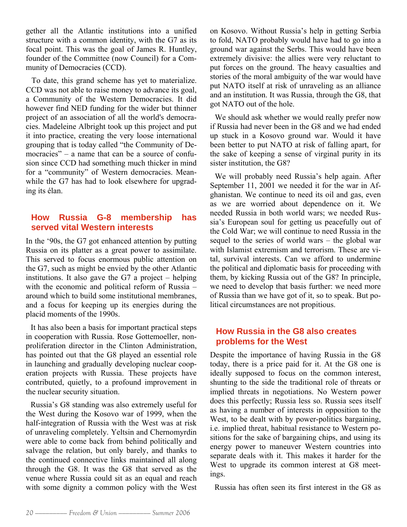gether all the Atlantic institutions into a unified structure with a common identity, with the G7 as its focal point. This was the goal of James R. Huntley, founder of the Committee (now Council) for a Community of Democracies (CCD).

To date, this grand scheme has yet to materialize. CCD was not able to raise money to advance its goal, a Community of the Western Democracies. It did however find NED funding for the wider but thinner project of an association of all the world's democracies. Madeleine Albright took up this project and put it into practice, creating the very loose international grouping that is today called "the Community of Democracies" – a name that can be a source of confusion since CCD had something much thicker in mind for a "community" of Western democracies. Meanwhile the G7 has had to look elsewhere for upgrading its élan.

#### **How Russia G-8 membership has served vital Western interests**

In the '90s, the G7 got enhanced attention by putting Russia on its platter as a great power to assimilate. This served to focus enormous public attention on the G7, such as might be envied by the other Atlantic institutions. It also gave the G7 a project – helping with the economic and political reform of Russia – around which to build some institutional membranes, and a focus for keeping up its energies during the placid moments of the 1990s.

It has also been a basis for important practical steps in cooperation with Russia. Rose Gottemoeller, nonproliferation director in the Clinton Administration, has pointed out that the G8 played an essential role in launching and gradually developing nuclear cooperation projects with Russia. These projects have contributed, quietly, to a profound improvement in the nuclear security situation.

Russia's G8 standing was also extremely useful for the West during the Kosovo war of 1999, when the half-integration of Russia with the West was at risk of unraveling completely. Yeltsin and Chernomyrdin were able to come back from behind politically and salvage the relation, but only barely, and thanks to the continued connective links maintained all along through the G8. It was the G8 that served as the venue where Russia could sit as an equal and reach with some dignity a common policy with the West on Kosovo. Without Russia's help in getting Serbia to fold, NATO probably would have had to go into a ground war against the Serbs. This would have been extremely divisive: the allies were very reluctant to put forces on the ground. The heavy casualties and stories of the moral ambiguity of the war would have put NATO itself at risk of unraveling as an alliance and an institution. It was Russia, through the G8, that got NATO out of the hole.

We should ask whether we would really prefer now if Russia had never been in the G8 and we had ended up stuck in a Kosovo ground war. Would it have been better to put NATO at risk of falling apart, for the sake of keeping a sense of virginal purity in its sister institution, the G8?

We will probably need Russia's help again. After September 11, 2001 we needed it for the war in Afghanistan. We continue to need its oil and gas, even as we are worried about dependence on it. We needed Russia in both world wars; we needed Russia's European soul for getting us peacefully out of the Cold War; we will continue to need Russia in the sequel to the series of world wars – the global war with Islamist extremism and terrorism. These are vital, survival interests. Can we afford to undermine the political and diplomatic basis for proceeding with them, by kicking Russia out of the G8? In principle, we need to develop that basis further: we need more of Russia than we have got of it, so to speak. But political circumstances are not propitious.

#### **How Russia in the G8 also creates problems for the West**

Despite the importance of having Russia in the G8 today, there is a price paid for it. At the G8 one is ideally supposed to focus on the common interest, shunting to the side the traditional role of threats or implied threats in negotiations. No Western power does this perfectly; Russia less so. Russia sees itself as having a number of interests in opposition to the West, to be dealt with by power-politics bargaining, i.e. implied threat, habitual resistance to Western positions for the sake of bargaining chips, and using its energy power to maneuver Western countries into separate deals with it. This makes it harder for the West to upgrade its common interest at G8 meetings.

Russia has often seen its first interest in the G8 as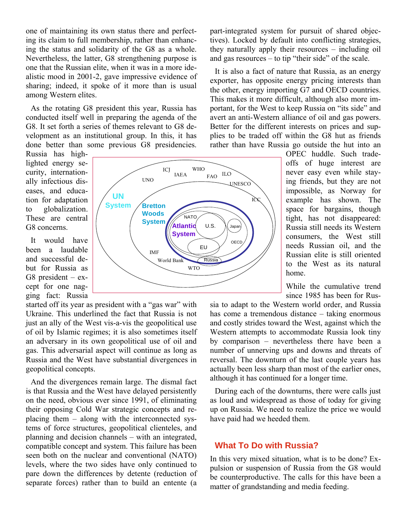one of maintaining its own status there and perfecting its claim to full membership, rather than enhancing the status and solidarity of the G8 as a whole. Nevertheless, the latter, G8 strengthening purpose is one that the Russian elite, when it was in a more idealistic mood in 2001-2, gave impressive evidence of sharing; indeed, it spoke of it more than is usual among Western elites.

As the rotating G8 president this year, Russia has conducted itself well in preparing the agenda of the G8. It set forth a series of themes relevant to G8 development as an institutional group. In this, it has done better than some previous G8 presidencies.

Russia has highlighted energy security, internationally infectious diseases, and education for adaptation to globalization. These are central G8 concerns.

It would have been a laudable and successful debut for Russia as G8 president  $-$  except for one nagging fact: Russia

started off its year as president with a "gas war" with Ukraine. This underlined the fact that Russia is not just an ally of the West vis-a-vis the geopolitical use of oil by Islamic regimes; it is also sometimes itself an adversary in its own geopolitical use of oil and gas. This adversarial aspect will continue as long as Russia and the West have substantial divergences in geopolitical concepts.

And the divergences remain large. The dismal fact is that Russia and the West have delayed persistently on the need, obvious ever since 1991, of eliminating their opposing Cold War strategic concepts and replacing them – along with the interconnected systems of force structures, geopolitical clienteles, and planning and decision channels – with an integrated, compatible concept and system. This failure has been seen both on the nuclear and conventional (NATO) levels, where the two sides have only continued to pare down the differences by detente (reduction of separate forces) rather than to build an entente (a part-integrated system for pursuit of shared objectives). Locked by default into conflicting strategies, they naturally apply their resources – including oil and gas resources – to tip "their side" of the scale.

It is also a fact of nature that Russia, as an energy exporter, has opposite energy pricing interests than the other, energy importing G7 and OECD countries. This makes it more difficult, although also more important, for the West to keep Russia on "its side" and avert an anti-Western alliance of oil and gas powers. Better for the different interests on prices and supplies to be traded off within the G8 hut as friends rather than have Russia go outside the hut into an

> OPEC huddle. Such tradeoffs of huge interest are never easy even while staying friends, but they are not impossible, as Norway for example has shown. The space for bargains, though tight, has not disappeared: Russia still needs its Western consumers, the West still needs Russian oil, and the Russian elite is still oriented to the West as its natural home.

While the cumulative trend since 1985 has been for Rus-

sia to adapt to the Western world order, and Russia has come a tremendous distance – taking enormous and costly strides toward the West, against which the Western attempts to accommodate Russia look tiny by comparison – nevertheless there have been a number of unnerving ups and downs and threats of reversal. The downturn of the last couple years has actually been less sharp than most of the earlier ones, although it has continued for a longer time.

During each of the downturns, there were calls just as loud and widespread as those of today for giving up on Russia. We need to realize the price we would have paid had we heeded them.

#### **What To Do with Russia?**

In this very mixed situation, what is to be done? Expulsion or suspension of Russia from the G8 would be counterproductive. The calls for this have been a matter of grandstanding and media feeding.

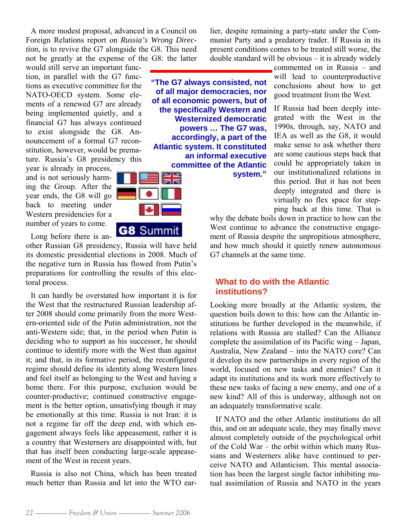A more modest proposal, advanced in a Council on Foreign Relations report on *Russia's Wrong Direction*, is to revive the G7 alongside the G8. This need not be greatly at the expense of the G8: the latter

would still serve an important function, in parallel with the G7 functions as executive committee for the NATO-OECD system. Some elements of a renewed G7 are already being implemented quietly, and a financial G7 has always continued to exist alongside the G8. Announcement of a formal G7 reconstitution, however, would be premature. Russia's G8 presidency this

year is already in process, and is not seriously harming the Group. After the year ends, the G8 will go back to meeting under Western presidencies for a number of years to come.

Long before there is an-

other Russian G8 presidency, Russia will have held its domestic presidential elections in 2008. Much of the negative turn in Russia has flowed from Putin's preparations for controlling the results of this electoral process.

It can hardly be overstated how important it is for the West that the restructured Russian leadership after 2008 should come primarily from the more Western-oriented side of the Putin administration, not the anti-Western side; that, in the period when Putin is deciding who to support as his successor, he should continue to identify more with the West than against it; and that, in its formative period, the reconfigured regime should define its identity along Western lines and feel itself as belonging to the West and having a home there. For this purpose, exclusion would be counter-productive; continued constructive engagement is the better option, unsatisfying though it may be emotionally at this time. Russia is not Iran: it is not a regime far off the deep end, with which engagement always feels like appeasement, rather it is a country that Westerners are disappointed with, but that has itself been conducting large-scale appeasement of the West in recent years.

Russia is also not China, which has been treated much better than Russia and let into the WTO earlier, despite remaining a party-state under the Communist Party and a predatory trader. If Russia in its present conditions comes to be treated still worse, the double standard will be obvious – it is already widely

**"The G7 always consisted, not of all major democracies, nor of all economic powers, but of the specifically Western and Westernized democratic powers … The G7 was, accordingly, a part of the Atlantic system. It constituted an informal executive committee of the Atlantic** 



commented on in Russia – and will lead to counterproductive conclusions about how to get good treatment from the West.

If Russia had been deeply integrated with the West in the 1990s, through, say, NATO and IEA as well as the G8, it would make sense to ask whether there are some cautious steps back that could be appropriately taken in our institutionalized relations in this period. But it has not been deeply integrated and there is virtually no flex space for stepping back at this time. That is

why the debate boils down in practice to how can the West continue to advance the constructive engagement of Russia despite the unpropitious atmosphere, and how much should it quietly renew autonomous G7 channels at the same time.

#### **What to do with the Atlantic institutions?**

**system."** 

Looking more broadly at the Atlantic system, the question boils down to this: how can the Atlantic institutions be further developed in the meanwhile, if relations with Russia are stalled? Can the Alliance complete the assimilation of its Pacific wing – Japan, Australia, New Zealand – into the NATO core? Can it develop its new partnerships in every region of the world, focused on new tasks and enemies? Can it adapt its institutions and its work more effectively to these new tasks of facing a new enemy, and one of a new kind? All of this is underway, although not on an adequately transformative scale.

If NATO and the other Atlantic institutions do all this, and on an adequate scale, they may finally move almost completely outside of the psychological orbit of the Cold War – the orbit within which many Russians and Westerners alike have continued to perceive NATO and Atlanticism. This mental association has been the largest single factor inhibiting mutual assimilation of Russia and NATO in the years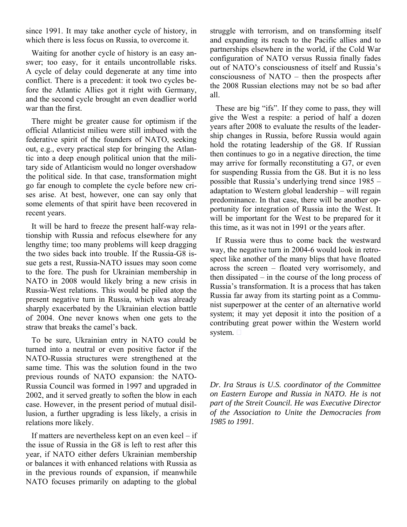since 1991. It may take another cycle of history, in which there is less focus on Russia, to overcome it.

Waiting for another cycle of history is an easy answer; too easy, for it entails uncontrollable risks. A cycle of delay could degenerate at any time into conflict. There is a precedent: it took two cycles before the Atlantic Allies got it right with Germany, and the second cycle brought an even deadlier world war than the first.

There might be greater cause for optimism if the official Atlanticist milieu were still imbued with the federative spirit of the founders of NATO, seeking out, e.g., every practical step for bringing the Atlantic into a deep enough political union that the military side of Atlanticism would no longer overshadow the political side. In that case, transformation might go far enough to complete the cycle before new crises arise. At best, however, one can say only that some elements of that spirit have been recovered in recent years.

It will be hard to freeze the present half-way relationship with Russia and refocus elsewhere for any lengthy time; too many problems will keep dragging the two sides back into trouble. If the Russia-G8 issue gets a rest, Russia-NATO issues may soon come to the fore. The push for Ukrainian membership in NATO in 2008 would likely bring a new crisis in Russia-West relations. This would be piled atop the present negative turn in Russia, which was already sharply exacerbated by the Ukrainian election battle of 2004. One never knows when one gets to the straw that breaks the camel's back.

To be sure, Ukrainian entry in NATO could be turned into a neutral or even positive factor if the NATO-Russia structures were strengthened at the same time. This was the solution found in the two previous rounds of NATO expansion: the NATO-Russia Council was formed in 1997 and upgraded in 2002, and it served greatly to soften the blow in each case. However, in the present period of mutual disillusion, a further upgrading is less likely, a crisis in relations more likely.

If matters are nevertheless kept on an even keel – if the issue of Russia in the G8 is left to rest after this year, if NATO either defers Ukrainian membership or balances it with enhanced relations with Russia as in the previous rounds of expansion, if meanwhile NATO focuses primarily on adapting to the global struggle with terrorism, and on transforming itself and expanding its reach to the Pacific allies and to partnerships elsewhere in the world, if the Cold War configuration of NATO versus Russia finally fades out of NATO's consciousness of itself and Russia's consciousness of NATO – then the prospects after the 2008 Russian elections may not be so bad after all.

These are big "ifs". If they come to pass, they will give the West a respite: a period of half a dozen years after 2008 to evaluate the results of the leadership changes in Russia, before Russia would again hold the rotating leadership of the G8. If Russian then continues to go in a negative direction, the time may arrive for formally reconstituting a G7, or even for suspending Russia from the G8. But it is no less possible that Russia's underlying trend since 1985 – adaptation to Western global leadership – will regain predominance. In that case, there will be another opportunity for integration of Russia into the West. It will be important for the West to be prepared for it this time, as it was not in 1991 or the years after.

If Russia were thus to come back the westward way, the negative turn in 2004-6 would look in retrospect like another of the many blips that have floated across the screen – floated very worrisomely, and then dissipated – in the course of the long process of Russia's transformation. It is a process that has taken Russia far away from its starting point as a Communist superpower at the center of an alternative world system; it may yet deposit it into the position of a contributing great power within the Western world system.  $\Box$ 

*Dr. Ira Straus is U.S. coordinator of the Committee on Eastern Europe and Russia in NATO. He is not part of the Streit Council. He was Executive Director of the Association to Unite the Democracies from 1985 to 1991.*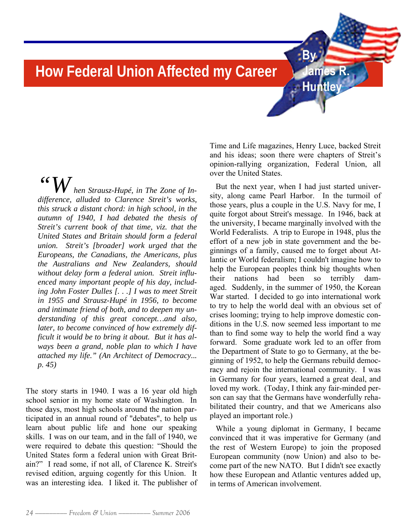# **How Federal Union Affected my Career**

hen Strausz-Hupé, in The Zone of In*difference, alluded to Clarence Streit's works, this struck a distant chord: in high school, in the autumn of 1940, I had debated the thesis of Streit's current book of that time, viz. that the United States and Britain should form a federal union. Streit's [broader] work urged that the Europeans, the Canadians, the Americans, plus the Australians and New Zealanders, should without delay form a federal union. Streit influenced many important people of his day, including John Foster Dulles [. . .] I was to meet Streit in 1955 and Strausz-Hupé in 1956, to become and intimate friend of both, and to deepen my understanding of this great concept…and also, later, to become convinced of how extremely difficult it would be to bring it about. But it has always been a grand, noble plan to which I have attached my life." (An Architect of Democracy... p. 45)* 

The story starts in 1940. I was a 16 year old high school senior in my home state of Washington. In those days, most high schools around the nation participated in an annual round of "debates", to help us learn about public life and hone our speaking skills. I was on our team, and in the fall of 1940, we were required to debate this question: "Should the United States form a federal union with Great Britain?" I read some, if not all, of Clarence K. Streit's revised edition, arguing cogently for this Union. It was an interesting idea. I liked it. The publisher of Time and Life magazines, Henry Luce, backed Streit and his ideas; soon there were chapters of Streit's opinion-rallying organization, Federal Union, all over the United States.

ames R

**Huntle** 

But the next year, when I had just started university, along came Pearl Harbor. In the turmoil of those years, plus a couple in the U.S. Navy for me, I quite forgot about Streit's message. In 1946, back at the university, I became marginally involved with the World Federalists. A trip to Europe in 1948, plus the effort of a new job in state government and the beginnings of a family, caused me to forget about Atlantic or World federalism; I couldn't imagine how to help the European peoples think big thoughts when their nations had been so terribly damaged. Suddenly, in the summer of 1950, the Korean War started. I decided to go into international work to try to help the world deal with an obvious set of crises looming; trying to help improve domestic conditions in the U.S. now seemed less important to me than to find some way to help the world find a way forward. Some graduate work led to an offer from the Department of State to go to Germany, at the beginning of 1952, to help the Germans rebuild democracy and rejoin the international community. I was in Germany for four years, learned a great deal, and loved my work. (Today, I think any fair-minded person can say that the Germans have wonderfully rehabilitated their country, and that we Americans also played an important role.)

While a young diplomat in Germany, I became convinced that it was imperative for Germany (and the rest of Western Europe) to join the proposed European community (now Union) and also to become part of the new NATO. But I didn't see exactly how these European and Atlantic ventures added up, in terms of American involvement.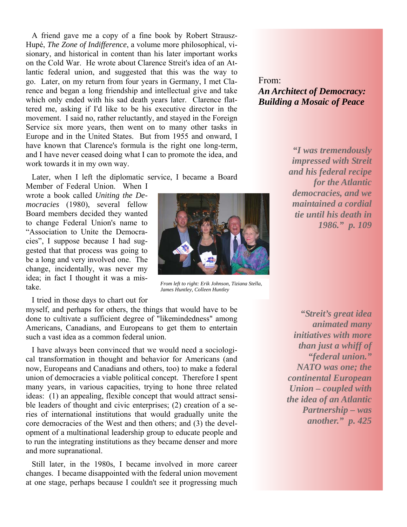A friend gave me a copy of a fine book by Robert Strausz-Hupé, *The Zone of Indifference*, a volume more philosophical, visionary, and historical in content than his later important works on the Cold War. He wrote about Clarence Streit's idea of an Atlantic federal union, and suggested that this was the way to go. Later, on my return from four years in Germany, I met Clarence and began a long friendship and intellectual give and take which only ended with his sad death years later. Clarence flattered me, asking if I'd like to be his executive director in the movement. I said no, rather reluctantly, and stayed in the Foreign Service six more years, then went on to many other tasks in Europe and in the United States. But from 1955 and onward, I have known that Clarence's formula is the right one long-term, and I have never ceased doing what I can to promote the idea, and work towards it in my own way.

Later, when I left the diplomatic service, I became a Board

Member of Federal Union. When I wrote a book called *Uniting the Democracies* (1980), several fellow Board members decided they wanted to change Federal Union's name to "Association to Unite the Democracies", I suppose because I had suggested that that process was going to be a long and very involved one. The change, incidentally, was never my idea; in fact I thought it was a mistake.

I tried in those days to chart out for

myself, and perhaps for others, the things that would have to be done to cultivate a sufficient degree of "likemindedness" among Americans, Canadians, and Europeans to get them to entertain such a vast idea as a common federal union

I have always been convinced that we would need a sociological transformation in thought and behavior for Americans (and now, Europeans and Canadians and others, too) to make a federal union of democracies a viable political concept. Therefore I spent many years, in various capacities, trying to hone three related ideas: (1) an appealing, flexible concept that would attract sensible leaders of thought and civic enterprises; (2) creation of a series of international institutions that would gradually unite the core democracies of the West and then others; and (3) the development of a multinational leadership group to educate people and to run the integrating institutions as they became denser and more and more supranational.

Still later, in the 1980s, I became involved in more career changes. I became disappointed with the federal union movement at one stage, perhaps because I couldn't see it progressing much

From: *An Architect of Democracy: Building a Mosaic of Peace* 

> *"I was tremendously impressed with Streit and his federal recipe for the Atlantic democracies, and we maintained a cordial tie until his death in 1986." p. 109*

*"Streit's great idea animated many initiatives with more than just a whiff of "federal union." NATO was one; the continental European Union – coupled with the idea of an Atlantic Partnership – was another." p. 425* 



*From left to right: Erik Johnson, Tiziana Stella, James Huntley, Colleen Huntley*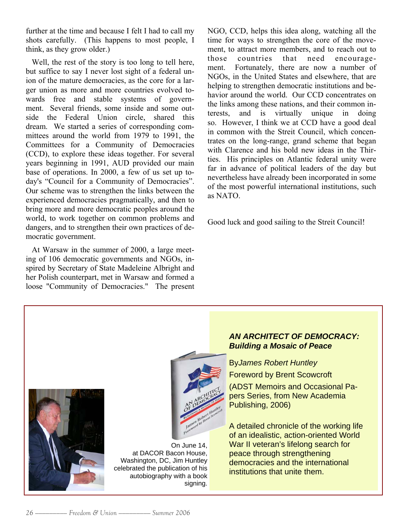further at the time and because I felt I had to call my shots carefully. (This happens to most people, I think, as they grow older.)

Well, the rest of the story is too long to tell here, but suffice to say I never lost sight of a federal union of the mature democracies, as the core for a larger union as more and more countries evolved towards free and stable systems of government. Several friends, some inside and some outside the Federal Union circle, shared this dream. We started a series of corresponding committees around the world from 1979 to 1991, the Committees for a Community of Democracies (CCD), to explore these ideas together. For several years beginning in 1991, AUD provided our main base of operations. In 2000, a few of us set up today's "Council for a Community of Democracies". Our scheme was to strengthen the links between the experienced democracies pragmatically, and then to bring more and more democratic peoples around the world, to work together on common problems and dangers, and to strengthen their own practices of democratic government.

At Warsaw in the summer of 2000, a large meeting of 106 democratic governments and NGOs, inspired by Secretary of State Madeleine Albright and her Polish counterpart, met in Warsaw and formed a loose "Community of Democracies." The present NGO, CCD, helps this idea along, watching all the time for ways to strengthen the core of the movement, to attract more members, and to reach out to those countries that need encouragement. Fortunately, there are now a number of NGOs, in the United States and elsewhere, that are helping to strengthen democratic institutions and behavior around the world. Our CCD concentrates on the links among these nations, and their common interests, and is virtually unique in doing so. However, I think we at CCD have a good deal in common with the Streit Council, which concentrates on the long-range, grand scheme that began with Clarence and his bold new ideas in the Thirties. His principles on Atlantic federal unity were far in advance of political leaders of the day but nevertheless have already been incorporated in some of the most powerful international institutions, such as NATO.

Good luck and good sailing to the Streit Council!



On June 14, at DACOR Bacon House, Washington, DC, Jim Huntley celebrated the publication of his autobiography with a book signing.

#### *AN ARCHITECT OF DEMOCRACY: Building a Mosaic of Peace*

By*James Robert Huntley* Foreword by Brent Scowcroft (ADST Memoirs and Occasional Papers Series, from New Academia Publishing, 2006)

A detailed chronicle of the working life of an idealistic, action-oriented World War II veteran's lifelong search for peace through strengthening democracies and the international institutions that unite them.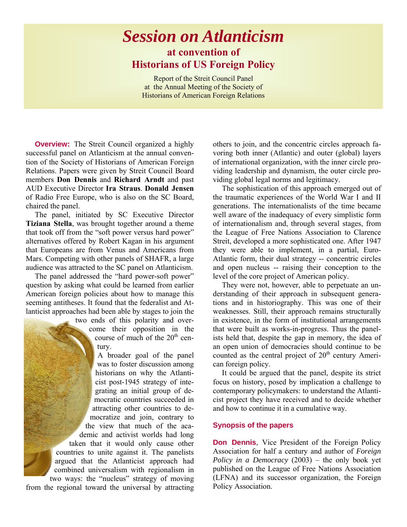## *Session on Atlanticism*  **at convention of Historians of US Foreign Policy**

Report of the Streit Council Panel at the Annual Meeting of the Society of Historians of American Foreign Relations

**Overview:** The Streit Council organized a highly successful panel on Atlanticism at the annual convention of the Society of Historians of American Foreign Relations. Papers were given by Streit Council Board members **Don Dennis** and **Richard Arndt** and past AUD Executive Director **Ira Straus**. **Donald Jensen** of Radio Free Europe, who is also on the SC Board, chaired the panel.

The panel, initiated by SC Executive Director **Tiziana Stella**, was brought together around a theme that took off from the "soft power versus hard power" alternatives offered by Robert Kagan in his argument that Europeans are from Venus and Americans from Mars. Competing with other panels of SHAFR, a large audience was attracted to the SC panel on Atlanticism.

The panel addressed the "hard power-soft power" question by asking what could be learned from earlier American foreign policies about how to manage this seeming antitheses. It found that the federalist and Atlanticist approaches had been able by stages to join the

> two ends of this polarity and overcome their opposition in the course of much of the  $20<sup>th</sup>$  century.

A broader goal of the panel was to foster discussion among historians on why the Atlanticist post-1945 strategy of integrating an initial group of democratic countries succeeded in attracting other countries to democratize and join, contrary to the view that much of the academic and activist worlds had long taken that it would only cause other countries to unite against it. The panelists argued that the Atlanticist approach had combined universalism with regionalism in two ways: the "nucleus" strategy of moving

from the regional toward the universal by attracting

others to join, and the concentric circles approach favoring both inner (Atlantic) and outer (global) layers of international organization, with the inner circle providing leadership and dynamism, the outer circle providing global legal norms and legitimacy.

The sophistication of this approach emerged out of the traumatic experiences of the World War I and II generations. The internationalists of the time became well aware of the inadequacy of every simplistic form of internationalism and, through several stages, from the League of Free Nations Association to Clarence Streit, developed a more sophisticated one. After 1947 they were able to implement, in a partial, Euro-Atlantic form, their dual strategy -- concentric circles and open nucleus -- raising their conception to the level of the core project of American policy.

They were not, however, able to perpetuate an understanding of their approach in subsequent generations and in historiography. This was one of their weaknesses. Still, their approach remains structurally in existence, in the form of institutional arrangements that were built as works-in-progress. Thus the panelists held that, despite the gap in memory, the idea of an open union of democracies should continue to be counted as the central project of  $20<sup>th</sup>$  century American foreign policy.

It could be argued that the panel, despite its strict focus on history, posed by implication a challenge to contemporary policymakers: to understand the Atlanticist project they have received and to decide whether and how to continue it in a cumulative way.

#### **Synopsis of the papers**

**Don Dennis**, Vice President of the Foreign Policy Association for half a century and author of *Foreign Policy in a Democracy* (2003) – the only book yet published on the League of Free Nations Association (LFNA) and its successor organization, the Foreign Policy Association.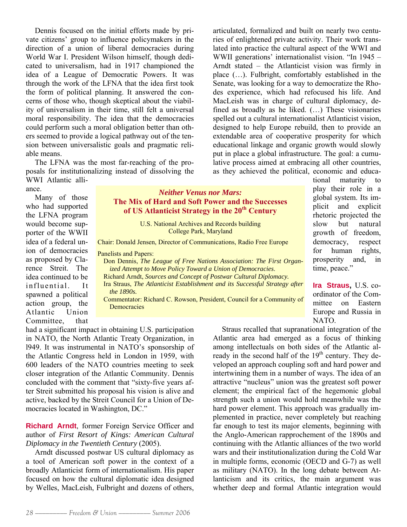Dennis focused on the initial efforts made by private citizens' group to influence policymakers in the direction of a union of liberal democracies during World War I. President Wilson himself, though dedicated to universalism, had in 1917 championed the idea of a League of Democratic Powers. It was through the work of the LFNA that the idea first took the form of political planning. It answered the concerns of those who, though skeptical about the viability of universalism in their time, still felt a universal moral responsibility. The idea that the democracies could perform such a moral obligation better than others seemed to provide a logical pathway out of the tension between universalistic goals and pragmatic reliable means.

The LFNA was the most far-reaching of the proposals for institutionalizing instead of dissolving the WWI Atlantic alli-

ance.

Many of those who had supported the LFNA program would become supporter of the WWII idea of a federal union of democracies as proposed by Clarence Streit. The idea continued to be influential. It spawned a political action group, the Atlantic Union Committee, that

| <b>Neither Venus nor Mars:</b>                             |
|------------------------------------------------------------|
| The Mix of Hard and Soft Power and the Successes           |
| of US Atlanticist Strategy in the 20 <sup>th</sup> Century |

U.S. National Archives and Records building College Park, Maryland

Chair: Donald Jensen, Director of Communications, Radio Free Europe

Panelists and Papers:

Don Dennis, *The League of Free Nations Association: The First Organized Attempt to Move Policy Toward a Union of Democracies*. Richard Arndt, *Sources and Concept of Postwar Cultural Diplomacy.*

Ira Straus, *The Atlanticist Establishment and its Successful Strategy after the 1890s.* 

Commentator: Richard C. Rowson, President, Council for a Community of **Democracies** 

had a significant impact in obtaining U.S. participation in NATO, the North Atlantic Treaty Organization, in l949. It was instrumental in NATO's sponsorship of the Atlantic Congress held in London in 1959, with 600 leaders of the NATO countries meeting to seek closer integration of the Atlantic Community. Dennis concluded with the comment that "sixty-five years after Streit submitted his proposal his vision is alive and active, backed by the Streit Council for a Union of Democracies located in Washington, DC."

#### **Richard Arndt**, former Foreign Service Officer and author of *First Resort of Kings: American Cultural Diplomacy in the Twentieth Century* (2005).

Arndt discussed postwar US cultural diplomacy as a tool of American soft power in the context of a broadly Atlanticist form of internationalism. His paper focused on how the cultural diplomatic idea designed by Welles, MacLeish, Fulbright and dozens of others,

articulated, formalized and built on nearly two centuries of enlightened private activity. Their work translated into practice the cultural aspect of the WWI and WWII generations' internationalist vision. "In 1945 – Arndt stated – the Atlanticist vision was firmly in place (…). Fulbright, comfortably established in the Senate, was looking for a way to democratize the Rhodes experience, which had refocused his life. And MacLeish was in charge of cultural diplomacy, defined as broadly as he liked. (…) These visionaries spelled out a cultural internationalist Atlanticist vision, designed to help Europe rebuild, then to provide an extendable area of cooperative prosperity for which educational linkage and organic growth would slowly put in place a global infrastructure. The goal: a cumulative process aimed at embracing all other countries, as they achieved the political, economic and educa-

tional maturity to play their role in a global system. Its implicit and explicit rhetoric projected the slow but natural growth of freedom, democracy, respect for human rights, prosperity and, in time, peace."

**Ira Straus,** U.S. coordinator of the Committee on Eastern Europe and Russia in NATO.

Straus recalled that supranational integration of the Atlantic area had emerged as a focus of thinking among intellectuals on both sides of the Atlantic already in the second half of the  $19<sup>th</sup>$  century. They developed an approach coupling soft and hard power and intertwining them in a number of ways. The idea of an attractive "nucleus" union was the greatest soft power element; the empirical fact of the hegemonic global strength such a union would hold meanwhile was the hard power element. This approach was gradually implemented in practice, never completely but reaching far enough to test its major elements, beginning with the Anglo-American rapprochement of the 1890s and continuing with the Atlantic alliances of the two world wars and their institutionalization during the Cold War in multiple forms, economic (OECD and G-7) as well as military (NATO). In the long debate between Atlanticism and its critics, the main argument was whether deep and formal Atlantic integration would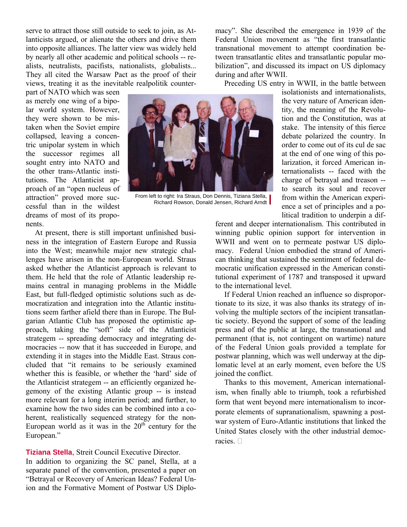serve to attract those still outside to seek to join, as Atlanticists argued, or alienate the others and drive them into opposite alliances. The latter view was widely held by nearly all other academic and political schools -- realists, neutralists, pacifists, nationalists, globalists... They all cited the Warsaw Pact as the proof of their views, treating it as the inevitable realpolitik counter-

part of NATO which was seen as merely one wing of a bipolar world system. However, they were shown to be mistaken when the Soviet empire collapsed, leaving a concentric unipolar system in which the successor regimes all sought entry into NATO and the other trans-Atlantic institutions. The Atlanticist approach of an "open nucleus of attraction" proved more successful than in the wildest dreams of most of its proponents.



From left to right: Ira Straus, Don Dennis, Tiziana Stella, Richard Rowson, Donald Jensen, Richard Arndt

At present, there is still important unfinished business in the integration of Eastern Europe and Russia into the West; meanwhile major new strategic challenges have arisen in the non-European world. Straus asked whether the Atlanticist approach is relevant to them. He held that the role of Atlantic leadership remains central in managing problems in the Middle East, but full-fledged optimistic solutions such as democratization and integration into the Atlantic institutions seem farther afield there than in Europe. The Bulgarian Atlantic Club has proposed the optimistic approach, taking the "soft" side of the Atlanticist strategem -- spreading democracy and integrating democracies -- now that it has succeeded in Europe, and extending it in stages into the Middle East. Straus concluded that "it remains to be seriously examined whether this is feasible, or whether the 'hard' side of the Atlanticist strategem -- an efficiently organized hegemony of the existing Atlantic group -- is instead more relevant for a long interim period; and further, to examine how the two sides can be combined into a coherent, realistically sequenced strategy for the non-European world as it was in the  $20<sup>th</sup>$  century for the European."

**Tiziana Stella**, Streit Council Executive Director.

In addition to organizing the SC panel, Stella, at a separate panel of the convention, presented a paper on "Betrayal or Recovery of American Ideas? Federal Union and the Formative Moment of Postwar US Diplomacy". She described the emergence in 1939 of the Federal Union movement as "the first transatlantic transnational movement to attempt coordination between transatlantic elites and transatlantic popular mobilization", and discussed its impact on US diplomacy during and after WWII.

Preceding US entry in WWII, in the battle between

isolationists and internationalists, the very nature of American identity, the meaning of the Revolution and the Constitution, was at stake. The intensity of this fierce debate polarized the country. In order to come out of its cul de sac at the end of one wing of this polarization, it forced American internationalists -- faced with the charge of betrayal and treason - to search its soul and recover from within the American experience a set of principles and a political tradition to underpin a dif-

ferent and deeper internationalism. This contributed in winning public opinion support for intervention in WWII and went on to permeate postwar US diplomacy. Federal Union embodied the strand of American thinking that sustained the sentiment of federal democratic unification expressed in the American constitutional experiment of 1787 and transposed it upward to the international level.

If Federal Union reached an influence so disproportionate to its size, it was also thanks its strategy of involving the multiple sectors of the incipient transatlantic society. Beyond the support of some of the leading press and of the public at large, the transnational and permanent (that is, not contingent on wartime) nature of the Federal Union goals provided a template for postwar planning, which was well underway at the diplomatic level at an early moment, even before the US joined the conflict.

Thanks to this movement, American internationalism, when finally able to triumph, took a refurbished form that went beyond mere internationalism to incorporate elements of supranationalism, spawning a postwar system of Euro-Atlantic institutions that linked the United States closely with the other industrial democracies.  $\Box$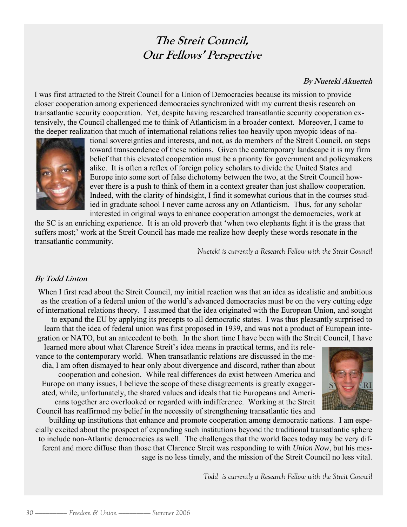## **The Streit Council, Our Fellows' Perspective**

#### **By Nueteki Akuetteh**

I was first attracted to the Streit Council for a Union of Democracies because its mission to provide closer cooperation among experienced democracies synchronized with my current thesis research on transatlantic security cooperation. Yet, despite having researched transatlantic security cooperation extensively, the Council challenged me to think of Atlanticism in a broader context. Moreover, I came to the deeper realization that much of international relations relies too heavily upon myopic ideas of na-



tional sovereignties and interests, and not, as do members of the Streit Council, on steps toward transcendence of these notions. Given the contemporary landscape it is my firm belief that this elevated cooperation must be a priority for government and policymakers alike. It is often a reflex of foreign policy scholars to divide the United States and Europe into some sort of false dichotomy between the two, at the Streit Council however there is a push to think of them in a context greater than just shallow cooperation. Indeed, with the clarity of hindsight, I find it somewhat curious that in the courses studied in graduate school I never came across any on Atlanticism. Thus, for any scholar interested in original ways to enhance cooperation amongst the democracies, work at

the SC is an enriching experience. It is an old proverb that 'when two elephants fight it is the grass that suffers most;' work at the Streit Council has made me realize how deeply these words resonate in the transatlantic community.

*Nueteki is currently a Research Fellow with the Streit Council*

#### **By Todd Linton**

When I first read about the Streit Council, my initial reaction was that an idea as idealistic and ambitious as the creation of a federal union of the world's advanced democracies must be on the very cutting edge of international relations theory. I assumed that the idea originated with the European Union, and sought to expand the EU by applying its precepts to all democratic states. I was thus pleasantly surprised to learn that the idea of federal union was first proposed in 1939, and was not a product of European integration or NATO, but an antecedent to both. In the short time I have been with the Streit Council, I have

learned more about what Clarence Streit's idea means in practical terms, and its relevance to the contemporary world. When transatlantic relations are discussed in the media, I am often dismayed to hear only about divergence and discord, rather than about cooperation and cohesion. While real differences do exist between America and Europe on many issues, I believe the scope of these disagreements is greatly exaggerated, while, unfortunately, the shared values and ideals that tie Europeans and Americans together are overlooked or regarded with indifference. Working at the Streit Council has reaffirmed my belief in the necessity of strengthening transatlantic ties and



building up institutions that enhance and promote cooperation among democratic nations. I am especially excited about the prospect of expanding such institutions beyond the traditional transatlantic sphere to include non-Atlantic democracies as well. The challenges that the world faces today may be very different and more diffuse than those that Clarence Streit was responding to with *Union Now*, but his message is no less timely, and the mission of the Streit Council no less vital.

*Todd is currently a Research Fellow with the Streit Council*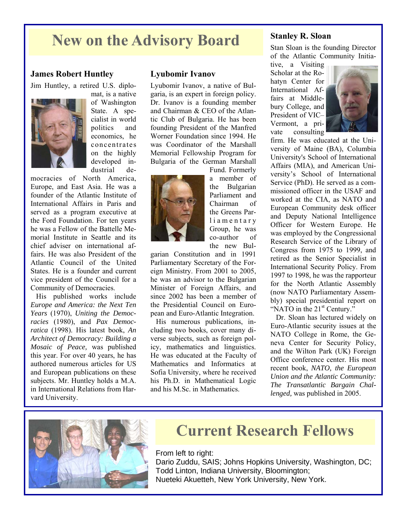# **New on the Advisory Board**

#### **James Robert Huntley**

Jim Huntley, a retired U.S. diplo-



mat, is a native of Washington State. A specialist in world politics and economics, he concentrates on the highly developed industrial de-

mocracies of North America, Europe, and East Asia. He was a founder of the Atlantic Institute of International Affairs in Paris and served as a program executive at the Ford Foundation. For ten years he was a Fellow of the Battelle Memorial Institute in Seattle and its chief adviser on international affairs. He was also President of the Atlantic Council of the United States. He is a founder and current vice president of the Council for a Community of Democracies.

 His published works include *Europe and America: the Next Ten Years* (1970), *Uniting the Democracies* (1980), and *Pax Democratica* (1998). His latest book, *An Architect of Democracy: Building a Mosaic of Peace,* was published this year. For over 40 years, he has authored numerous articles for US and European publications on these subjects. Mr. Huntley holds a M.A. in International Relations from Harvard University.

#### **Lyubomir Ivanov**

Lyubomir Ivanov, a native of Bulgaria, is an expert in foreign policy. Dr. Ivanov is a founding member and Chairman & CEO of the Atlantic Club of Bulgaria. He has been founding President of the Manfred Worner Foundation since 1994. He was Coordinator of the Marshall Memorial Fellowship Program for Bulgaria of the German Marshall



Fund. Formerly a member of the Bulgarian Parliament and Chairman of the Greens Parliamentary Group, he was co-author of the new Bul-

garian Constitution and in 1991 Parliamentary Secretary of the Foreign Ministry. From 2001 to 2005, he was an advisor to the Bulgarian Minister of Foreign Affairs, and since 2002 has been a member of the Presidential Council on European and Euro-Atlantic Integration.

 His numerous publications, including two books, cover many diverse subjects, such as foreign policy, mathematics and linguistics. He was educated at the Faculty of Mathematics and Informatics at Sofia University, where he received his Ph.D. in Mathematical Logic and his M.Sc. in Mathematics.

#### **Stanley R. Sloan**

Stan Sloan is the founding Director of the Atlantic Community Initia-

tive, a Visiting Scholar at the Rohatyn Center for International Affairs at Middlebury College, and President of VIC– Vermont, a private consulting



firm. He was educated at the University of Maine (BA), Columbia University's School of International Affairs (MIA), and American University's School of International Service (PhD). He served as a commissioned officer in the USAF and worked at the CIA, as NATO and European Community desk officer and Deputy National Intelligence Officer for Western Europe. He was employed by the Congressional Research Service of the Library of Congress from 1975 to 1999, and retired as the Senior Specialist in International Security Policy. From 1997 to 1998, he was the rapporteur for the North Atlantic Assembly (now NATO Parliamentary Assembly) special presidential report on "NATO in the 21<sup>st</sup> Century."

 Dr. Sloan has lectured widely on Euro-Atlantic security issues at the NATO College in Rome, the Geneva Center for Security Policy, and the Wilton Park (UK) Foreign Office conference center. His most recent book, *NATO, the European Union and the Atlantic Community: The Transatlantic Bargain Challenged,* was published in 2005.



# **Current Research Fellows**

From left to right:

Dario Zuddu, SAIS; Johns Hopkins University, Washington, DC; Todd Linton, Indiana University, Bloomington; Nueteki Akuetteh, New York University, New York.